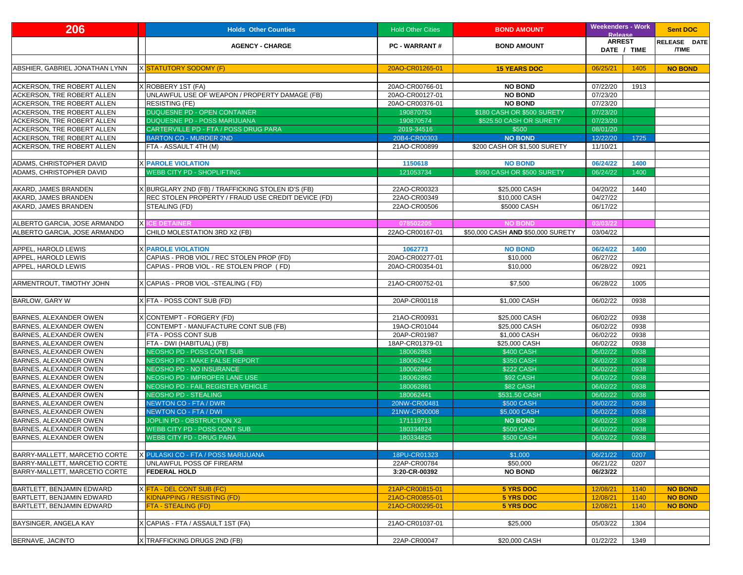| 206                               | <b>Holds Other Counties</b>                        | <b>Hold Other Cities</b> | <b>BOND AMOUNT</b>                | <b>Weekenders - Work</b><br><b>Release</b> | <b>Sent DOC</b>              |
|-----------------------------------|----------------------------------------------------|--------------------------|-----------------------------------|--------------------------------------------|------------------------------|
|                                   | <b>AGENCY - CHARGE</b>                             | <b>PC - WARRANT#</b>     | <b>BOND AMOUNT</b>                | <b>ARREST</b><br>DATE / TIME               | RELEASE DATE<br><b>/TIME</b> |
|                                   |                                                    |                          |                                   |                                            |                              |
| ABSHIER, GABRIEL JONATHAN LYNN    | X <mark>STATUTORY SODOMY (F)</mark>                | 20AO-CR01265-01          | <b>15 YEARS DOC</b>               | 06/25/21<br>1405                           | <b>NO BOND</b>               |
| <b>ACKERSON, TRE ROBERT ALLEN</b> | X ROBBERY 1ST (FA)                                 | 20AO-CR00766-01          | <b>NO BOND</b>                    | 07/22/20<br>1913                           |                              |
| <b>ACKERSON, TRE ROBERT ALLEN</b> | UNLAWFUL USE OF WEAPON / PROPERTY DAMAGE (FB)      | 20AO-CR00127-01          | <b>NO BOND</b>                    | 07/23/20                                   |                              |
| <b>ACKERSON, TRE ROBERT ALLEN</b> | <b>RESISTING (FE)</b>                              | 20AO-CR00376-01          | <b>NO BOND</b>                    | 07/23/20                                   |                              |
| <b>ACKERSON, TRE ROBERT ALLEN</b> | <b>DUQUESNE PD - OPEN CONTAINER</b>                | 190870753                | \$180 CASH OR \$500 SURETY        | 07/23/20                                   |                              |
| <b>ACKERSON, TRE ROBERT ALLEN</b> | <b>DUQUESNE PD - POSS MARIJUANA</b>                | 190870574                | \$525.50 CASH OR SURETY           | 07/23/20                                   |                              |
| <b>ACKERSON, TRE ROBERT ALLEN</b> | CARTERVILLE PD - FTA / POSS DRUG PARA              | 2019-34516               | \$500                             | 08/01/20                                   |                              |
| <b>ACKERSON, TRE ROBERT ALLEN</b> | <b>BARTON CO - MURDER 2ND</b>                      | 20B4-CR00303             | <b>NO BOND</b>                    | 12/22/20<br>1725                           |                              |
| <b>ACKERSON, TRE ROBERT ALLEN</b> | <b>FTA - ASSAULT 4TH (M)</b>                       | 21AO-CR00899             | \$200 CASH OR \$1,500 SURETY      | 11/10/21                                   |                              |
|                                   |                                                    |                          |                                   |                                            |                              |
| <b>ADAMS, CHRISTOPHER DAVID</b>   | <b>X PAROLE VIOLATION</b>                          | 1150618                  | <b>NO BOND</b>                    | 06/24/22<br>1400                           |                              |
| <b>ADAMS, CHRISTOPHER DAVID</b>   | <b>WEBB CITY PD - SHOPLIFTING</b>                  | 121053734                | \$590 CASH OR \$500 SURETY        | 06/24/22<br>1400                           |                              |
|                                   |                                                    |                          |                                   |                                            |                              |
| AKARD, JAMES BRANDEN              | X BURGLARY 2ND (FB) / TRAFFICKING STOLEN ID'S (FB) | 22AO-CR00323             | \$25,000 CASH                     | 04/20/22<br>1440                           |                              |
| AKARD, JAMES BRANDEN              | REC STOLEN PROPERTY / FRAUD USE CREDIT DEVICE (FD) | 22AO-CR00349             | \$10,000 CASH                     | 04/27/22                                   |                              |
| AKARD, JAMES BRANDEN              | <b>STEALING (FD)</b>                               | 22AO-CR00506             | \$5000 CASH                       | 06/17/22                                   |                              |
|                                   |                                                    |                          |                                   |                                            |                              |
| ALBERTO GARCIA, JOSE ARMANDO      | <b>X ICE DETAINER</b>                              | 078502205                | <b>NO BOND</b>                    | 03/03/22                                   |                              |
| ALBERTO GARCIA, JOSE ARMANDO      | CHILD MOLESTATION 3RD X2 (FB)                      | 22AO-CR00167-01          | \$50,000 CASH AND \$50,000 SURETY | 03/04/22                                   |                              |
|                                   |                                                    |                          |                                   |                                            |                              |
| <b>APPEL, HAROLD LEWIS</b>        | <b>X PAROLE VIOLATION</b>                          | 1062773                  | <b>NO BOND</b>                    | 06/24/22<br>1400                           |                              |
| <b>APPEL, HAROLD LEWIS</b>        | CAPIAS - PROB VIOL / REC STOLEN PROP (FD)          | 20AO-CR00277-01          | \$10,000                          | 06/27/22                                   |                              |
| <b>APPEL, HAROLD LEWIS</b>        | CAPIAS - PROB VIOL - RE STOLEN PROP (FD)           | 20AO-CR00354-01          | \$10,000                          | 06/28/22<br>0921                           |                              |
|                                   |                                                    |                          |                                   |                                            |                              |
| <b>ARMENTROUT, TIMOTHY JOHN</b>   | X CAPIAS - PROB VIOL - STEALING (FD)               | 21AO-CR00752-01          | \$7,500                           | 06/28/22<br>1005                           |                              |
|                                   |                                                    |                          |                                   |                                            |                              |
| <b>BARLOW, GARY W</b>             | XFTA - POSS CONT SUB (FD)                          | 20AP-CR00118             | \$1,000 CASH                      | 06/02/22<br>0938                           |                              |
|                                   |                                                    |                          |                                   |                                            |                              |
| BARNES, ALEXANDER OWEN            | XCONTEMPT - FORGERY (FD)                           | 21AO-CR00931             | \$25,000 CASH                     | 06/02/22<br>0938                           |                              |
| <b>BARNES, ALEXANDER OWEN</b>     | CONTEMPT - MANUFACTURE CONT SUB (FB)               | 19AO-CR01044             | \$25,000 CASH                     | 06/02/22<br>0938                           |                              |
| <b>BARNES, ALEXANDER OWEN</b>     | <b>FTA - POSS CONT SUB</b>                         | 20AP-CR01987             | \$1,000 CASH                      | 06/02/22<br>0938                           |                              |
| <b>BARNES, ALEXANDER OWEN</b>     | <b>FTA - DWI (HABITUAL) (FB)</b>                   | 18AP-CR01379-01          | \$25,000 CASH                     | 06/02/22<br>0938                           |                              |
| <b>BARNES, ALEXANDER OWEN</b>     | NEOSHO PD - POSS CONT SUB                          | 180062863                | \$400 CASH                        | 06/02/22<br>0938                           |                              |
| <b>BARNES, ALEXANDER OWEN</b>     | NEOSHO PD - MAKE FALSE REPORT                      | 180062442                | \$350 CASH                        | 06/02/22<br>0938                           |                              |
| <b>BARNES, ALEXANDER OWEN</b>     | NEOSHO PD - NO INSURANCE                           | 180062864                | <b>\$222 CASH</b>                 | 0938<br>06/02/22                           |                              |
| <b>BARNES, ALEXANDER OWEN</b>     | NEOSHO PD - IMPROPER LANE USE                      | 180062862                | <b>\$92 CASH</b>                  | 06/02/22<br>0938                           |                              |
| <b>BARNES, ALEXANDER OWEN</b>     | NEOSHO PD - FAIL REGISTER VEHICLE                  | 180062861                | \$82 CASH                         | 0938<br>06/02/22                           |                              |
| <b>BARNES, ALEXANDER OWEN</b>     | <b>NEOSHO PD - STEALING</b>                        | 180062441                | \$531.50 CASH                     | 06/02/22<br>0938                           |                              |
| <b>BARNES, ALEXANDER OWEN</b>     | NEWTON CO - FTA / DWR                              | 20NW-CR00481             | \$500 CASH                        | 0938<br>06/02/22                           |                              |
| <b>BARNES, ALEXANDER OWEN</b>     | NEWTON CO - FTA / DWI                              | 21NW-CR00008             | \$5,000 CASH                      | 06/02/22<br>0938                           |                              |
| <b>BARNES, ALEXANDER OWEN</b>     | JOPLIN PD - OBSTRUCTION X2                         | 171119713                | <b>NO BOND</b>                    | 06/02/22<br>0938                           |                              |
| <b>BARNES, ALEXANDER OWEN</b>     | WEBB CITY PD - POSS CONT SUB                       | 180334824                | \$500 CASH                        | 0938<br>06/02/22                           |                              |
| <b>BARNES, ALEXANDER OWEN</b>     | <b>WEBB CITY PD - DRUG PARA</b>                    | 180334825                | \$500 CASH                        | 06/02/22<br>0938                           |                              |
|                                   |                                                    |                          |                                   |                                            |                              |
| BARRY-MALLETT, MARCETIO CORTE     | X PULASKI CO - FTA / POSS MARIJUANA                | 18PU-CR01323             | \$1,000                           | 0207<br>06/21/22                           |                              |
| BARRY-MALLETT, MARCETIO CORTE     | UNLAWFUL POSS OF FIREARM                           | 22AP-CR00784             | \$50,000                          | 06/21/22<br>0207                           |                              |
| BARRY-MALLETT, MARCETIO CORTE     | <b>FEDERAL HOLD</b>                                | 3:20-CR-00392            | <b>NO BOND</b>                    | 06/23/22                                   |                              |
|                                   |                                                    |                          |                                   |                                            |                              |
| BARTLETT, BENJAMIN EDWARD         | XFTA - DEL CONT SUB (FC)                           | 21AP-CR00815-01          | <b>5 YRS DOC</b>                  | 12/08/21<br>1140                           | <b>NO BOND</b>               |
| BARTLETT, BENJAMIN EDWARD         | KIDNAPPING / RESISTING (FD)                        | 21AO-CR00855-01          | <b>5 YRS DOC</b>                  | 12/08/21<br>1140                           | <b>NO BOND</b>               |
| BARTLETT, BENJAMIN EDWARD         | <b>FTA - STEALING (FD)</b>                         | 21AO-CR00295-01          | <b>5 YRS DOC</b>                  | 12/08/21<br>1140                           | <b>NO BOND</b>               |
|                                   |                                                    |                          |                                   |                                            |                              |
| <b>BAYSINGER, ANGELA KAY</b>      | X CAPIAS - FTA / ASSAULT 1ST (FA)                  | 21AO-CR01037-01          | \$25,000                          | 1304<br>05/03/22                           |                              |
|                                   |                                                    |                          |                                   |                                            |                              |
| BERNAVE, JACINTO                  | XTRAFFICKING DRUGS 2ND (FB)                        | 22AP-CR00047             | \$20,000 CASH                     | 01/22/22<br>1349                           |                              |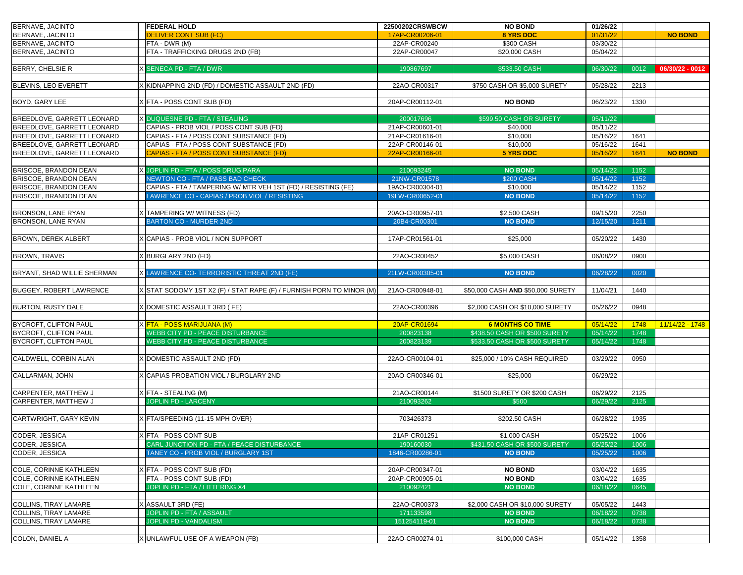| BERNAVE, JACINTO                  | <b>FEDERAL HOLD</b>                                                  | 22500202CRSWBCW | <b>NO BOND</b>                    | 01/26/22 |      |                 |
|-----------------------------------|----------------------------------------------------------------------|-----------------|-----------------------------------|----------|------|-----------------|
| BERNAVE, JACINTO                  | <b>DELIVER CONT SUB (FC)</b>                                         | 17AP-CR00206-01 | 8 YRS DOC                         | 01/31/22 |      | <b>NO BOND</b>  |
| BERNAVE, JACINTO                  | <b>FTA - DWR (M)</b>                                                 | 22AP-CR00240    | \$300 CASH                        | 03/30/22 |      |                 |
| BERNAVE, JACINTO                  | <b>FTA - TRAFFICKING DRUGS 2ND (FB)</b>                              | 22AP-CR00047    | \$20,000 CASH                     | 05/04/22 |      |                 |
|                                   |                                                                      |                 |                                   |          |      |                 |
| <b>BERRY, CHELSIE R</b>           | <b>X SENECA PD - FTA / DWR</b>                                       | 190867697       | \$533.50 CASH                     | 06/30/22 | 0012 | 06/30/22 - 0012 |
|                                   |                                                                      |                 |                                   |          |      |                 |
| <b>BLEVINS, LEO EVERETT</b>       | (KIDNAPPING 2ND (FD) / DOMESTIC ASSAULT 2ND (FD)                     | 22AO-CR00317    | \$750 CASH OR \$5,000 SURETY      | 05/28/22 | 2213 |                 |
|                                   |                                                                      |                 |                                   |          |      |                 |
| <b>BOYD, GARY LEE</b>             | X FTA - POSS CONT SUB (FD)                                           | 20AP-CR00112-01 | <b>NO BOND</b>                    | 06/23/22 | 1330 |                 |
|                                   |                                                                      |                 |                                   |          |      |                 |
| <b>BREEDLOVE, GARRETT LEONARD</b> | X DUQUESNE PD - FTA / STEALING                                       | 200017696       | \$599.50 CASH OR SURETY           | 05/11/22 |      |                 |
| <b>BREEDLOVE, GARRETT LEONARD</b> | CAPIAS - PROB VIOL / POSS CONT SUB (FD)                              | 21AP-CR00601-01 | \$40,000                          | 05/11/22 |      |                 |
| <b>BREEDLOVE, GARRETT LEONARD</b> | CAPIAS - FTA / POSS CONT SUBSTANCE (FD)                              | 21AP-CR01616-01 | \$10,000                          | 05/16/22 | 1641 |                 |
| BREEDLOVE, GARRETT LEONARD        | CAPIAS - FTA / POSS CONT SUBSTANCE (FD)                              | 22AP-CR00146-01 | \$10,000                          | 05/16/22 | 1641 |                 |
| <b>BREEDLOVE, GARRETT LEONARD</b> | CAPIAS - FTA / POSS CONT SUBSTANCE (FD)                              | 22AP-CR00166-01 | <b>5 YRS DOC</b>                  | 05/16/22 | 1641 | <b>NO BOND</b>  |
|                                   |                                                                      |                 |                                   |          |      |                 |
| <b>BRISCOE, BRANDON DEAN</b>      | <b>X JOPLIN PD - FTA / POSS DRUG PARA</b>                            | 210093245       | <b>NO BOND</b>                    | 05/14/22 | 1152 |                 |
| <b>BRISCOE, BRANDON DEAN</b>      | <b>NEWTON CO - FTA / PASS BAD CHECK</b>                              | 21NW-CR01578    | <b>\$200 CASH</b>                 | 05/14/22 | 1152 |                 |
| <b>BRISCOE, BRANDON DEAN</b>      | CAPIAS - FTA / TAMPERING W/ MTR VEH 1ST (FD) / RESISTING (FE)        | 19AO-CR00304-01 | \$10,000                          | 05/14/22 | 1152 |                 |
| <b>BRISCOE, BRANDON DEAN</b>      | AWRENCE CO - CAPIAS / PROB VIOL / RESISTING                          | 19LW-CR00652-01 | <b>NO BOND</b>                    | 05/14/22 | 1152 |                 |
|                                   |                                                                      |                 |                                   |          |      |                 |
| <b>BRONSON, LANE RYAN</b>         | X TAMPERING W/WITNESS (FD)                                           | 20AO-CR00957-01 | \$2,500 CASH                      | 09/15/20 | 2250 |                 |
| <b>BRONSON, LANE RYAN</b>         | <b>BARTON CO - MURDER 2ND</b>                                        | 20B4-CR00301    | <b>NO BOND</b>                    | 12/15/20 | 1211 |                 |
|                                   |                                                                      |                 |                                   |          |      |                 |
| <b>BROWN, DEREK ALBERT</b>        | CAPIAS - PROB VIOL / NON SUPPORT                                     | 17AP-CR01561-01 | \$25,000                          | 05/20/22 | 1430 |                 |
|                                   |                                                                      |                 |                                   |          |      |                 |
| <b>BROWN, TRAVIS</b>              | (BURGLARY 2ND (FD)                                                   | 22AO-CR00452    | \$5,000 CASH                      | 06/08/22 | 0900 |                 |
|                                   |                                                                      |                 |                                   |          |      |                 |
| BRYANT, SHAD WILLIE SHERMAN       | X LAWRENCE CO- TERRORISTIC THREAT 2ND (FE)                           | 21LW-CR00305-01 | <b>NO BOND</b>                    | 06/28/22 | 0020 |                 |
|                                   |                                                                      |                 |                                   |          |      |                 |
| <b>BUGGEY, ROBERT LAWRENCE</b>    | X STAT SODOMY 1ST X2 (F) / STAT RAPE (F) / FURNISH PORN TO MINOR (M) | 21AO-CR00948-01 | \$50,000 CASH AND \$50,000 SURETY | 11/04/21 | 1440 |                 |
|                                   |                                                                      |                 |                                   |          |      |                 |
|                                   |                                                                      |                 |                                   |          |      |                 |
| <b>BURTON, RUSTY DALE</b>         | X DOMESTIC ASSAULT 3RD ( FE)                                         | 22AO-CR00396    | \$2,000 CASH OR \$10,000 SURETY   | 05/26/22 | 0948 |                 |
|                                   |                                                                      |                 |                                   |          |      |                 |
| <b>BYCROFT, CLIFTON PAUL</b>      | X <mark>FTA - POSS MARIJUANA (M)</mark>                              | 20AP-CR01694    | <b>6 MONTHS CO TIME</b>           | 05/14/22 | 1748 | 11/14/22 - 1748 |
| <b>BYCROFT, CLIFTON PAUL</b>      | <b>WEBB CITY PD - PEACE DISTURBANCE</b>                              | 200823138       | \$438,50 CASH OR \$500 SURETY     | 05/14/22 | 1748 |                 |
| <b>BYCROFT, CLIFTON PAUL</b>      | <b>WEBB CITY PD - PEACE DISTURBANCE</b>                              | 200823139       | \$533.50 CASH OR \$500 SURETY     | 05/14/22 | 1748 |                 |
|                                   |                                                                      |                 |                                   |          |      |                 |
| CALDWELL, CORBIN ALAN             | X DOMESTIC ASSAULT 2ND (FD)                                          | 22AO-CR00104-01 | \$25,000 / 10% CASH REQUIRED      | 03/29/22 | 0950 |                 |
|                                   |                                                                      |                 |                                   |          |      |                 |
| CALLARMAN, JOHN                   | (CAPIAS PROBATION VIOL / BURGLARY 2ND                                | 20AO-CR00346-01 | \$25,000                          | 06/29/22 |      |                 |
|                                   |                                                                      |                 |                                   |          |      |                 |
| CARPENTER, MATTHEW J              | X FTA - STEALING (M)                                                 | 21AO-CR00144    | \$1500 SURETY OR \$200 CASH       | 06/29/22 | 2125 |                 |
| CARPENTER, MATTHEW J              | <b>JOPLIN PD - LARCENY</b>                                           | 210093262       | \$500                             | 06/29/22 | 2125 |                 |
|                                   |                                                                      |                 |                                   |          |      |                 |
| <b>CARTWRIGHT, GARY KEVIN</b>     | X FTA/SPEEDING (11-15 MPH OVER)                                      | 703426373       | \$202.50 CASH                     | 06/28/22 | 1935 |                 |
|                                   |                                                                      |                 |                                   |          |      |                 |
| CODER, JESSICA                    | X FTA - POSS CONT SUB                                                | 21AP-CR01251    | \$1,000 CASH                      | 05/25/22 | 1006 |                 |
| CODER, JESSICA                    | CARL JUNCTION PD - FTA / PEACE DISTURBANCE                           | 190160030       | \$431.50 CASH OR \$500 SURETY     | 05/25/22 | 1006 |                 |
| CODER, JESSICA                    | TANEY CO - PROB VIOL / BURGLARY 1ST                                  | 1846-CR00286-01 | <b>NO BOND</b>                    | 05/25/22 | 1006 |                 |
|                                   |                                                                      |                 |                                   |          |      |                 |
| COLE, CORINNE KATHLEEN            | X FTA - POSS CONT SUB (FD)                                           | 20AP-CR00347-01 | <b>NO BOND</b>                    | 03/04/22 | 1635 |                 |
| <b>COLE, CORINNE KATHLEEN</b>     | <b>FTA - POSS CONT SUB (FD)</b>                                      | 20AP-CR00905-01 | <b>NO BOND</b>                    | 03/04/22 | 1635 |                 |
| <b>COLE, CORINNE KATHLEEN</b>     | JOPLIN PD - FTA / LITTERING X4                                       | 210092421       | <b>NO BOND</b>                    | 06/18/22 | 0645 |                 |
|                                   |                                                                      |                 |                                   |          |      |                 |
| COLLINS, TIRAY LAMARE             | X ASSAULT 3RD (FE)                                                   | 22AO-CR00373    | \$2,000 CASH OR \$10,000 SURETY   | 05/05/22 | 1443 |                 |
| <b>COLLINS, TIRAY LAMARE</b>      | JOPLIN PD - FTA / ASSAULT                                            | 171133598       | <b>NO BOND</b>                    | 06/18/22 | 0738 |                 |
| <b>COLLINS, TIRAY LAMARE</b>      | JOPLIN PD - VANDALISM                                                | 151254119-01    | <b>NO BOND</b>                    | 06/18/22 | 0738 |                 |
| COLON, DANIEL A                   | XUNLAWFUL USE OF A WEAPON (FB)                                       | 22AO-CR00274-01 | \$100,000 CASH                    | 05/14/22 | 1358 |                 |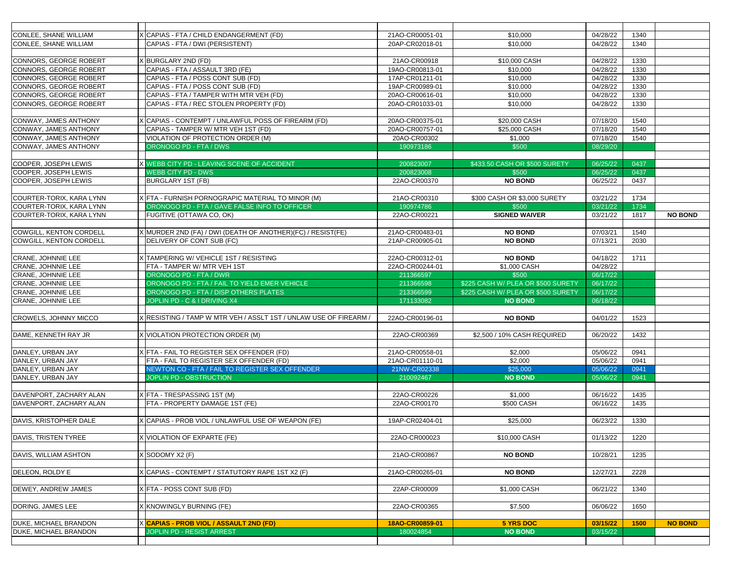| CONLEE, SHANE WILLIAM          | CAPIAS - FTA / CHILD ENDANGERMENT (FD)                          | 21AO-CR00051-01 | \$10,000                           | 04/28/22 | 1340 |                |
|--------------------------------|-----------------------------------------------------------------|-----------------|------------------------------------|----------|------|----------------|
| <b>CONLEE, SHANE WILLIAM</b>   | CAPIAS - FTA / DWI (PERSISTENT)                                 | 20AP-CR02018-01 | \$10,000                           | 04/28/22 | 1340 |                |
|                                |                                                                 |                 |                                    |          |      |                |
| CONNORS, GEORGE ROBERT         | <b>BURGLARY 2ND (FD)</b>                                        | 21AO-CR00918    | \$10,000 CASH                      | 04/28/22 | 1330 |                |
| CONNORS, GEORGE ROBERT         | CAPIAS - FTA / ASSAULT 3RD (FE)                                 | 19AO-CR00813-01 | \$10,000                           | 04/28/22 | 1330 |                |
| CONNORS, GEORGE ROBERT         | CAPIAS - FTA / POSS CONT SUB (FD)                               | 17AP-CR01211-01 | \$10,000                           | 04/28/22 | 1330 |                |
| CONNORS, GEORGE ROBERT         | CAPIAS - FTA / POSS CONT SUB (FD)                               | 19AP-CR00989-01 | \$10,000                           | 04/28/22 | 1330 |                |
| CONNORS, GEORGE ROBERT         | CAPIAS - FTA / TAMPER WITH MTR VEH (FD)                         | 20AO-CR00616-01 | \$10,000                           | 04/28/22 | 1330 |                |
|                                |                                                                 |                 |                                    |          |      |                |
| CONNORS, GEORGE ROBERT         | CAPIAS - FTA / REC STOLEN PROPERTY (FD)                         | 20AO-CR01033-01 | \$10,000                           | 04/28/22 | 1330 |                |
|                                |                                                                 |                 |                                    |          |      |                |
| CONWAY, JAMES ANTHONY          | CAPIAS - CONTEMPT / UNLAWFUL POSS OF FIREARM (FD)               | 20AO-CR00375-01 | \$20,000 CASH                      | 07/18/20 | 1540 |                |
| CONWAY, JAMES ANTHONY          | CAPIAS - TAMPER W/ MTR VEH 1ST (FD)                             | 20AO-CR00757-01 | \$25,000 CASH                      | 07/18/20 | 1540 |                |
| CONWAY, JAMES ANTHONY          | VIOLATION OF PROTECTION ORDER (M)                               | 20AO-CR00302    | \$1,000                            | 07/18/20 | 1540 |                |
| CONWAY, JAMES ANTHONY          | ORONOGO PD - FTA / DWS                                          | 190973186       | \$500                              | 08/29/20 |      |                |
|                                |                                                                 |                 |                                    |          |      |                |
| COOPER, JOSEPH LEWIS           | <b>X WEBB CITY PD - LEAVING SCENE OF ACCIDENT</b>               | 200823007       | \$433.50 CASH OR \$500 SURETY      | 06/25/22 | 0437 |                |
| COOPER, JOSEPH LEWIS           | <b>WEBB CITY PD - DWS</b>                                       | 200823008       | \$500                              | 06/25/22 | 0437 |                |
| COOPER, JOSEPH LEWIS           | <b>BURGLARY 1ST (FB)</b>                                        | 22AO-CR00370    | <b>NO BOND</b>                     | 06/25/22 | 0437 |                |
|                                |                                                                 |                 |                                    |          |      |                |
| COURTER-TORIX, KARA LYNN       | (FTA - FURNISH PORNOGRAPIC MATERIAL TO MINOR (M)                | 21AO-CR00310    | \$300 CASH OR \$3,000 SURETY       | 03/21/22 | 1734 |                |
| COURTER-TORIX, KARA LYNN       | ORONOGO PD - FTA / GAVE FALSE INFO TO OFFICER                   | 190974786       | \$500                              | 03/21/22 | 1734 |                |
| COURTER-TORIX, KARA LYNN       | FUGITIVE (OTTAWA CO, OK)                                        | 22AO-CR00221    | <b>SIGNED WAIVER</b>               | 03/21/22 | 1817 | <b>NO BOND</b> |
|                                |                                                                 |                 |                                    |          |      |                |
| <b>COWGILL, KENTON CORDELL</b> | MURDER 2ND (FA) / DWI (DEATH OF ANOTHER) (FC) / RESIST (FE)     | 21AO-CR00483-01 | <b>NO BOND</b>                     | 07/03/21 | 1540 |                |
| <b>COWGILL, KENTON CORDELL</b> | DELIVERY OF CONT SUB (FC)                                       | 21AP-CR00905-01 | <b>NO BOND</b>                     | 07/13/21 | 2030 |                |
|                                |                                                                 |                 |                                    |          |      |                |
| CRANE, JOHNNIE LEE             | X TAMPERING W/ VEHICLE 1ST / RESISTING                          | 22AO-CR00312-01 | <b>NO BOND</b>                     | 04/18/22 | 1711 |                |
| CRANE, JOHNNIE LEE             | FTA - TAMPER W/ MTR VEH 1ST                                     | 22AO-CR00244-01 | \$1,000 CASH                       | 04/28/22 |      |                |
| CRANE, JOHNNIE LEE             | ORONOGO PD - FTA / DWR                                          | 211366597       | \$500                              | 06/17/22 |      |                |
| CRANE, JOHNNIE LEE             | ORONOGO PD - FTA / FAIL TO YIELD EMER VEHICLE                   | 211366598       | \$225 CASH W/ PLEA OR \$500 SURETY | 06/17/22 |      |                |
| CRANE, JOHNNIE LEE             | ORONOGO PD - FTA / DISP OTHERS PLATES                           | 213366599       | \$225 CASH W/ PLEA OR \$500 SURETY | 06/17/22 |      |                |
| CRANE, JOHNNIE LEE             | <b>JOPLIN PD - C &amp; I DRIVING X4</b>                         | 171133082       | <b>NO BOND</b>                     | 06/18/22 |      |                |
|                                |                                                                 |                 |                                    |          |      |                |
| <b>CROWELS, JOHNNY MICCO</b>   | RESISTING / TAMP W MTR VEH / ASSLT 1ST / UNLAW USE OF FIREARM / | 22AO-CR00196-01 | <b>NO BOND</b>                     | 04/01/22 | 1523 |                |
|                                |                                                                 |                 |                                    |          |      |                |
| DAME, KENNETH RAY JR           | (VIOLATION PROTECTION ORDER (M)                                 | 22AO-CR00369    | \$2,500 / 10% CASH REQUIRED        | 06/20/22 | 1432 |                |
|                                |                                                                 |                 |                                    |          |      |                |
|                                |                                                                 | 21AO-CR00558-01 |                                    | 05/06/22 | 0941 |                |
| DANLEY, URBAN JAY              | X FTA - FAIL TO REGISTER SEX OFFENDER (FD)                      |                 | \$2,000                            |          |      |                |
| DANLEY, URBAN JAY              | FTA - FAIL TO REGISTER SEX OFFENDER (FD)                        | 21AO-CR01110-01 | \$2,000                            | 05/06/22 | 0941 |                |
| DANLEY, URBAN JAY              | NEWTON CO - FTA / FAIL TO REGISTER SEX OFFENDER                 | 21NW-CR02338    | \$25,000                           | 05/06/22 | 0941 |                |
| DANLEY, URBAN JAY              | JOPLIN PD - OBSTRUCTION                                         | 210092467       | <b>NO BOND</b>                     | 05/06/22 | 0941 |                |
|                                |                                                                 |                 |                                    |          |      |                |
| DAVENPORT, ZACHARY ALAN        | X FTA - TRESPASSING 1ST (M)                                     | 22AO-CR00226    | \$1,000                            | 06/16/22 | 1435 |                |
| DAVENPORT, ZACHARY ALAN        | FTA - PROPERTY DAMAGE 1ST (FE)                                  | 22AO-CR00170    | \$500 CASH                         | 06/16/22 | 1435 |                |
|                                |                                                                 |                 |                                    |          |      |                |
| DAVIS, KRISTOPHER DALE         | CAPIAS - PROB VIOL / UNLAWFUL USE OF WEAPON (FE)                | 19AP-CR02404-01 | \$25,000                           | 06/23/22 | 1330 |                |
|                                |                                                                 |                 |                                    |          |      |                |
| DAVIS, TRISTEN TYREE           | (VIOLATION OF EXPARTE (FE)                                      | 22AO-CR000023   | \$10,000 CASH                      | 01/13/22 | 1220 |                |
|                                |                                                                 |                 |                                    |          |      |                |
| DAVIS, WILLIAM ASHTON          | SODOMY X2 (F)                                                   | 21AO-CR00867    | <b>NO BOND</b>                     | 10/28/21 | 1235 |                |
|                                |                                                                 |                 |                                    |          |      |                |
| DELEON, ROLDY E                | CAPIAS - CONTEMPT / STATUTORY RAPE 1ST X2 (F)                   | 21AO-CR00265-01 | <b>NO BOND</b>                     | 12/27/21 | 2228 |                |
|                                |                                                                 |                 |                                    |          |      |                |
| <b>DEWEY, ANDREW JAMES</b>     | X FTA - POSS CONT SUB (FD)                                      | 22AP-CR00009    | \$1,000 CASH                       | 06/21/22 | 1340 |                |
|                                |                                                                 |                 |                                    |          |      |                |
| DORING, JAMES LEE              | <b>KNOWINGLY BURNING (FE)</b>                                   | 22AO-CR00365    | \$7,500                            | 06/06/22 | 1650 |                |
|                                |                                                                 |                 |                                    |          |      |                |
| <b>DUKE, MICHAEL BRANDON</b>   | X CAPIAS - PROB VIOL / ASSAULT 2ND (FD)                         | 18AO-CR00859-01 | <b>5 YRS DOC</b>                   | 03/15/22 | 1500 | <b>NO BOND</b> |
| <b>DUKE, MICHAEL BRANDON</b>   | <b>JOPLIN PD - RESIST ARREST</b>                                | 180024854       | <b>NO BOND</b>                     | 03/15/22 |      |                |
|                                |                                                                 |                 |                                    |          |      |                |
|                                |                                                                 |                 |                                    |          |      |                |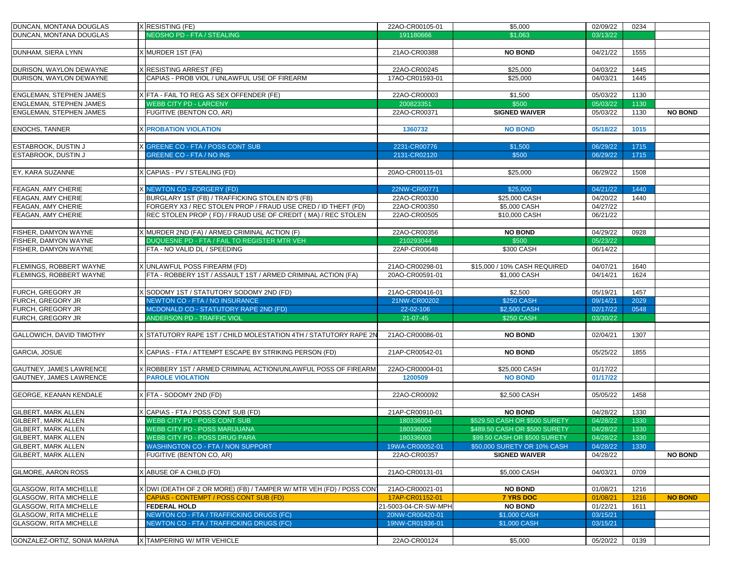| DUNCAN, MONTANA DOUGLAS         | $X$ RESISTING (FE)                                                  | 22AO-CR00105-01      | \$5,000                       | 02/09/22 | 0234 |                |
|---------------------------------|---------------------------------------------------------------------|----------------------|-------------------------------|----------|------|----------------|
| <b>DUNCAN, MONTANA DOUGLAS</b>  | NEOSHO PD - FTA / STEALING                                          | 191180666            | \$1,063                       | 03/13/22 |      |                |
|                                 |                                                                     |                      |                               |          |      |                |
| <b>DUNHAM, SIERA LYNN</b>       | X MURDER 1ST (FA)                                                   | 21AO-CR00388         | <b>NO BOND</b>                | 04/21/22 | 1555 |                |
|                                 |                                                                     |                      |                               |          |      |                |
| DURISON, WAYLON DEWAYNE         | X RESISTING ARREST (FE)                                             | 22AO-CR00245         | \$25,000                      | 04/03/22 | 1445 |                |
| <b>DURISON, WAYLON DEWAYNE</b>  | CAPIAS - PROB VIOL / UNLAWFUL USE OF FIREARM                        | 17AO-CR01593-01      | \$25,000                      | 04/03/21 | 1445 |                |
|                                 |                                                                     |                      |                               |          |      |                |
| <b>ENGLEMAN, STEPHEN JAMES</b>  | X FTA - FAIL TO REG AS SEX OFFENDER (FE)                            | 22AO-CR00003         | \$1,500                       | 05/03/22 | 1130 |                |
| <b>ENGLEMAN, STEPHEN JAMES</b>  | <b>WEBB CITY PD - LARCENY</b>                                       | 200823351            | \$500                         | 05/03/22 | 1130 |                |
| <b>ENGLEMAN, STEPHEN JAMES</b>  | <b>FUGITIVE (BENTON CO, AR)</b>                                     | 22AO-CR00371         | <b>SIGNED WAIVER</b>          | 05/03/22 | 1130 | <b>NO BOND</b> |
|                                 |                                                                     |                      |                               |          |      |                |
| <b>ENOCHS, TANNER</b>           | <b>X PROBATION VIOLATION</b>                                        | 1360732              | <b>NO BOND</b>                | 05/18/22 | 1015 |                |
|                                 |                                                                     |                      |                               |          |      |                |
| <b>ESTABROOK, DUSTIN J</b>      | X GREENE CO - FTA / POSS CONT SUB                                   | 2231-CR00776         | \$1,500                       | 06/29/22 | 1715 |                |
| <b>ESTABROOK, DUSTIN J</b>      | <b>GREENE CO - FTA / NO INS</b>                                     | 2131-CR02120         | \$500                         | 06/29/22 | 1715 |                |
| EY, KARA SUZANNE                | X CAPIAS - PV / STEALING (FD)                                       | 20AO-CR00115-01      | \$25,000                      | 06/29/22 | 1508 |                |
|                                 |                                                                     |                      |                               |          |      |                |
| <b>FEAGAN, AMY CHERIE</b>       | X NEWTON CO - FORGERY (FD)                                          | 22NW-CR00771         | \$25,000                      | 04/21/22 | 1440 |                |
| <b>FEAGAN, AMY CHERIE</b>       | BURGLARY 1ST (FB) / TRAFFICKING STOLEN ID'S (FB)                    | 22AO-CR00330         | \$25,000 CASH                 | 04/20/22 | 1440 |                |
| <b>FEAGAN, AMY CHERIE</b>       | FORGERY X3 / REC STOLEN PROP / FRAUD USE CRED / ID THEFT (FD)       | 22AO-CR00350         | \$5,000 CASH                  | 04/27/22 |      |                |
| <b>FEAGAN, AMY CHERIE</b>       | REC STOLEN PROP (FD) / FRAUD USE OF CREDIT (MA) / REC STOLEN        | 22AO-CR00505         | \$10,000 CASH                 | 06/21/22 |      |                |
|                                 |                                                                     |                      |                               |          |      |                |
| <b>FISHER, DAMYON WAYNE</b>     | X MURDER 2ND (FA) / ARMED CRIMINAL ACTION (F)                       | 22AO-CR00356         | <b>NO BOND</b>                | 04/29/22 | 0928 |                |
| <b>FISHER, DAMYON WAYNE</b>     | DUQUESNE PD - FTA / FAIL TO REGISTER MTR VEH                        | 210293044            | \$500                         | 05/23/22 |      |                |
| <b>FISHER, DAMYON WAYNE</b>     | <b>FTA - NO VALID DL / SPEEDING</b>                                 | 22AP-CR00648         | \$300 CASH                    | 06/14/22 |      |                |
|                                 |                                                                     |                      |                               |          |      |                |
| <b>FLEMINGS, ROBBERT WAYNE</b>  | X UNLAWFUL POSS FIREARM (FD)                                        | 21AO-CR00298-01      | \$15,000 / 10% CASH REQUIRED  | 04/07/21 | 1640 |                |
| <b>FLEMINGS, ROBBERT WAYNE</b>  | FTA - ROBBERY 1ST / ASSAULT 1ST / ARMED CRIMINAL ACTION (FA)        | 20AO-CR00591-01      | \$1,000 CASH                  | 04/14/21 | 1624 |                |
|                                 |                                                                     |                      |                               |          |      |                |
| <b>FURCH, GREGORY JR</b>        | X SODOMY 1ST / STATUTORY SODOMY 2ND (FD)                            | 21AO-CR00416-01      | \$2,500                       | 05/19/21 | 1457 |                |
| <b>FURCH, GREGORY JR</b>        | NEWTON CO - FTA / NO INSURANCE                                      | 21NW-CR00202         | <b>\$250 CASH</b>             | 09/14/21 | 2029 |                |
| <b>FURCH, GREGORY JR</b>        | <b>MCDONALD CO - STATUTORY RAPE 2ND (FD)</b>                        | 22-02-106            | \$2,500 CASH                  | 02/17/22 | 0548 |                |
| <b>FURCH, GREGORY JR</b>        | <b>ANDERSON PD - TRAFFIC VIOL</b>                                   | 21-07-45             | <b>\$250 CASH</b>             | 03/30/22 |      |                |
|                                 |                                                                     |                      |                               |          |      |                |
| <b>GALLOWICH, DAVID TIMOTHY</b> | X STATUTORY RAPE 1ST / CHILD MOLESTATION 4TH / STATUTORY RAPE 2N    | 21AO-CR00086-01      | <b>NO BOND</b>                | 02/04/21 | 1307 |                |
|                                 |                                                                     |                      |                               |          |      |                |
| GARCIA, JOSUE                   | X CAPIAS - FTA / ATTEMPT ESCAPE BY STRIKING PERSON (FD)             | 21AP-CR00542-01      | <b>NO BOND</b>                | 05/25/22 | 1855 |                |
|                                 |                                                                     |                      |                               |          |      |                |
| <b>GAUTNEY, JAMES LAWRENCE</b>  | √ROBBERY 1ST / ARMED CRIMINAL ACTION/UNLAWFUL POSS OF FIREARM       | 22AO-CR00004-01      | \$25,000 CASH                 | 01/17/22 |      |                |
| <b>GAUTNEY, JAMES LAWRENCE</b>  | <b>PAROLE VIOLATION</b>                                             | 1200509              | <b>NO BOND</b>                | 01/17/22 |      |                |
|                                 |                                                                     |                      |                               |          |      |                |
| <b>GEORGE, KEANAN KENDALE</b>   | X FTA - SODOMY 2ND (FD)                                             | 22AO-CR00092         | \$2,500 CASH                  | 05/05/22 | 1458 |                |
|                                 |                                                                     |                      |                               |          |      |                |
| <b>GILBERT, MARK ALLEN</b>      | X CAPIAS - FTA / POSS CONT SUB (FD)                                 | 21AP-CR00910-01      | <b>NO BOND</b>                | 04/28/22 | 1330 |                |
| <b>GILBERT, MARK ALLEN</b>      | <b>WEBB CITY PD - POSS CONT SUB</b>                                 | 180336004            | \$529.50 CASH OR \$500 SURETY | 04/28/22 | 1330 |                |
| <b>GILBERT, MARK ALLEN</b>      | <b>WEBB CITY PD - POSS MARIJUANA</b>                                | 180336002            | \$489.50 CASH OR \$500 SURETY | 04/28/22 | 1330 |                |
| <b>GILBERT, MARK ALLEN</b>      | <b>WEBB CITY PD - POSS DRUG PARA</b>                                | 180336003            | \$99.50 CASH OR \$500 SURETY  | 04/28/22 | 1330 |                |
| <b>GILBERT, MARK ALLEN</b>      | <b>WASHINGTON CO - FTA / NON SUPPORT</b>                            | 19WA-CR00052-01      | \$50,000 SURETY OR 10% CASH   | 04/28/22 | 1330 |                |
| <b>GILBERT, MARK ALLEN</b>      | <b>FUGITIVE (BENTON CO, AR)</b>                                     | 22AO-CR00357         | <b>SIGNED WAIVER</b>          | 04/28/22 |      | <b>NO BOND</b> |
| <b>GILMORE, AARON ROSS</b>      | X ABUSE OF A CHILD (FD)                                             | 21AO-CR00131-01      | \$5,000 CASH                  | 04/03/21 | 0709 |                |
|                                 |                                                                     |                      |                               |          |      |                |
| <b>GLASGOW, RITA MICHELLE</b>   | X DWI (DEATH OF 2 OR MORE) (FB) / TAMPER W/ MTR VEH (FD) / POSS CON | 21AO-CR00021-01      | <b>NO BOND</b>                | 01/08/21 | 1216 |                |
| <b>GLASGOW, RITA MICHELLE</b>   | CAPIAS - CONTEMPT / POSS CONT SUB (FD)                              | 17AP-CR01152-01      | <b>7 YRS DOC</b>              | 01/08/21 | 1216 | <b>NO BOND</b> |
| <b>GLASGOW, RITA MICHELLE</b>   | <b>FEDERAL HOLD</b>                                                 | 21-5003-04-CR-SW-MPH | <b>NO BOND</b>                | 01/22/21 | 1611 |                |
| <b>GLASGOW, RITA MICHELLE</b>   | NEWTON CO - FTA / TRAFFICKING DRUGS (FC)                            | 20NW-CR00420-01      | \$1,000 CASH                  | 03/15/21 |      |                |
| <b>GLASGOW, RITA MICHELLE</b>   | NEWTON CO - FTA / TRAFFICKING DRUGS (FC)                            | 19NW-CR01936-01      | \$1,000 CASH                  | 03/15/21 |      |                |
|                                 |                                                                     |                      |                               |          |      |                |
| GONZALEZ-ORTIZ, SONIA MARINA    | X TAMPERING W/ MTR VEHICLE                                          | 22AO-CR00124         | \$5,000                       |          | 0139 |                |
|                                 |                                                                     |                      |                               | 05/20/22 |      |                |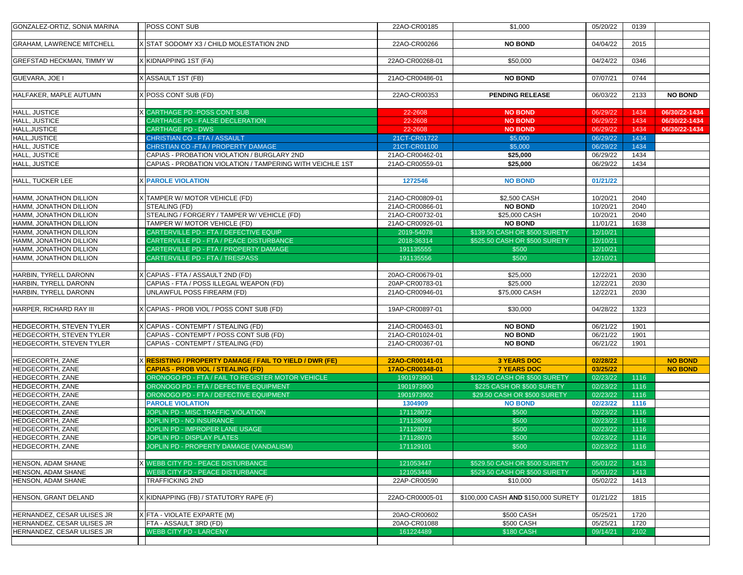| GONZALEZ-ORTIZ, SONIA MARINA                       | <b>POSS CONT SUB</b>                                                                           | 22AO-CR00185                       | \$1,000                                  | 05/20/22             | 0139         |                                  |
|----------------------------------------------------|------------------------------------------------------------------------------------------------|------------------------------------|------------------------------------------|----------------------|--------------|----------------------------------|
| <b>GRAHAM, LAWRENCE MITCHELL</b>                   | X STAT SODOMY X3 / CHILD MOLESTATION 2ND                                                       | 22AO-CR00266                       | <b>NO BOND</b>                           | 04/04/22             | 2015         |                                  |
|                                                    |                                                                                                |                                    |                                          |                      |              |                                  |
| <b>GREFSTAD HECKMAN, TIMMY W</b>                   | X KIDNAPPING 1ST (FA)                                                                          | 22AO-CR00268-01                    | \$50,000                                 | 04/24/22             | 0346         |                                  |
| <b>GUEVARA, JOE I</b>                              | X ASSAULT 1ST (FB)                                                                             | 21AO-CR00486-01                    | <b>NO BOND</b>                           | 07/07/21             | 0744         |                                  |
| HALFAKER, MAPLE AUTUMN                             | X POSS CONT SUB (FD)                                                                           | 22AO-CR00353                       | <b>PENDING RELEASE</b>                   | 06/03/22             | 2133         | <b>NO BOND</b>                   |
|                                                    |                                                                                                |                                    |                                          |                      |              |                                  |
| HALL, JUSTICE                                      | X CARTHAGE PD -POSS CONT SUB<br><b>CARTHAGE PD - FALSE DECLERATION</b>                         | 22-2608                            | <b>NO BOND</b>                           | 06/29/22             | 1434         | 06/30/22-1434                    |
| HALL, JUSTICE<br>HALL, JUSTICE                     | <b>CARTHAGE PD - DWS</b>                                                                       | 22-2608<br>22-2608                 | <b>NO BOND</b><br><b>NO BOND</b>         | 06/29/22<br>06/29/22 | 1434<br>1434 | 06/30/22-1434<br>06/30/22-1434   |
| HALL, JUSTICE                                      | <b>CHRISTIAN CO - FTA / ASSAULT</b>                                                            | 21CT-CR01722                       | \$5,000                                  | 06/29/22             | 1434         |                                  |
| HALL, JUSTICE                                      | CHRSTIAN CO - FTA / PROPERTY DAMAGE                                                            | 21CT-CR01100                       | \$5,000                                  | 06/29/22             | 1434         |                                  |
| HALL, JUSTICE                                      | CAPIAS - PROBATION VIOLATION / BURGLARY 2ND                                                    | 21AO-CR00462-01                    | \$25,000                                 | 06/29/22             | 1434         |                                  |
| HALL, JUSTICE                                      | CAPIAS - PROBATION VIOLATION / TAMPERING WITH VEICHLE 1ST                                      | 21AO-CR00559-01                    | \$25,000                                 | 06/29/22             | 1434         |                                  |
|                                                    |                                                                                                |                                    |                                          |                      |              |                                  |
| HALL, TUCKER LEE                                   | <b>X PAROLE VIOLATION</b>                                                                      | 1272546                            | <b>NO BOND</b>                           | 01/21/22             |              |                                  |
|                                                    |                                                                                                |                                    |                                          |                      |              |                                  |
| HAMM, JONATHON DILLION                             | X TAMPER W/ MOTOR VEHICLE (FD)                                                                 | 21AO-CR00809-01                    | \$2,500 CASH                             | 10/20/21             | 2040         |                                  |
| <b>HAMM, JONATHON DILLION</b>                      | <b>STEALING (FD)</b>                                                                           | 21AO-CR00866-01                    | <b>NO BOND</b>                           | 10/20/21             | 2040         |                                  |
| <b>HAMM, JONATHON DILLION</b>                      | STEALING / FORGERY / TAMPER W/ VEHICLE (FD)                                                    | 21AO-CR00732-01                    | \$25,000 CASH                            | 10/20/21             | 2040         |                                  |
| <b>HAMM, JONATHON DILLION</b>                      | TAMPER W/ MOTOR VEHICLE (FD)                                                                   | 21AO-CR00926-01                    | <b>NO BOND</b>                           | 11/01/21             | 1638         |                                  |
| HAMM, JONATHON DILLION                             | CARTERVILLE PD - FTA / DEFECTIVE EQUIP                                                         | 2019-54078                         | \$139.50 CASH OR \$500 SURETY            | 12/10/21             |              |                                  |
| <b>HAMM, JONATHON DILLION</b>                      | CARTERVILLE PD - FTA / PEACE DISTURBANCE                                                       | 2018-36314                         | \$525.50 CASH OR \$500 SURETY            | 12/10/21             |              |                                  |
| <b>HAMM, JONATHON DILLION</b>                      | CARTERVILLE PD - FTA / PROPERTY DAMAGE                                                         | 191135555                          | \$500                                    | 12/10/21             |              |                                  |
| HAMM, JONATHON DILLION                             | CARTERVILLE PD - FTA / TRESPASS                                                                | 191135556                          | \$500                                    | 12/10/21             |              |                                  |
|                                                    |                                                                                                |                                    |                                          |                      |              |                                  |
| HARBIN, TYRELL DARONN                              | X CAPIAS - FTA / ASSAULT 2ND (FD)                                                              | 20AO-CR00679-01                    | \$25,000                                 | 12/22/21             | 2030         |                                  |
| HARBIN, TYRELL DARONN                              | CAPIAS - FTA / POSS ILLEGAL WEAPON (FD)                                                        | 20AP-CR00783-01                    | \$25,000                                 | 12/22/21             | 2030         |                                  |
| HARBIN, TYRELL DARONN                              | UNLAWFUL POSS FIREARM (FD)                                                                     | 21AO-CR00946-01                    | \$75,000 CASH                            | 12/22/21             | 2030         |                                  |
|                                                    |                                                                                                |                                    |                                          |                      |              |                                  |
| HARPER, RICHARD RAY III                            | X CAPIAS - PROB VIOL / POSS CONT SUB (FD)                                                      | 19AP-CR00897-01                    | \$30,000                                 | 04/28/22             | 1323         |                                  |
|                                                    |                                                                                                |                                    |                                          |                      |              |                                  |
| <b>HEDGECORTH, STEVEN TYLER</b>                    | X CAPIAS - CONTEMPT / STEALING (FD)                                                            | 21AO-CR00463-01                    | <b>NO BOND</b>                           | 06/21/22             | 1901         |                                  |
| <b>HEDGECORTH, STEVEN TYLER</b>                    | CAPIAS - CONTEMPT / POSS CONT SUB (FD)                                                         | 21AO-CR01024-01                    | <b>NO BOND</b>                           | 06/21/22             | 1901         |                                  |
| <b>HEDGECORTH, STEVEN TYLER</b>                    | CAPIAS - CONTEMPT / STEALING (FD)                                                              | 21AO-CR00367-01                    | <b>NO BOND</b>                           | 06/21/22             | 1901         |                                  |
|                                                    |                                                                                                |                                    |                                          |                      |              |                                  |
| <b>HEDGECORTH, ZANE</b>                            | X <mark>RESISTING / PROPERTY DAMAGE / FAIL TO YIELD / DWR (FE)</mark>                          | 22AO-CR00141-01<br>17AO-CR00348-01 | <b>3 YEARS DOC</b><br><b>7 YEARS DOC</b> | 02/28/22<br>03/25/22 |              | <b>NO BOND</b><br><b>NO BOND</b> |
| <b>HEDGECORTH, ZANE</b><br><b>HEDGECORTH, ZANE</b> | <b>CAPIAS - PROB VIOL / STEALING (FD)</b><br>ORONOGO PD - FTA / FAIL TO REGISTER MOTOR VEHICLE | 1901973901                         | \$129.50 CASH OR \$500 SURETY            | 02/23/22             | 1116         |                                  |
| <b>HEDGECORTH, ZANE</b>                            | ORONOGO PD - FTA / DEFECTIVE EQUIPMENT                                                         | 1901973900                         | \$225 CASH OR \$500 SURETY               | 02/23/22             | 1116         |                                  |
| <b>HEDGECORTH, ZANE</b>                            | ORONOGO PD - FTA / DEFECTIVE EQUIPMENT                                                         | 1901973902                         | \$29.50 CASH OR \$500 SURETY             | 02/23/22             | 1116         |                                  |
| <b>HEDGECORTH, ZANE</b>                            | <b>PAROLE VIOLATION</b>                                                                        | 1304909                            | <b>NO BOND</b>                           | 02/23/22             | 1116         |                                  |
| <b>HEDGECORTH, ZANE</b>                            | JOPLIN PD - MISC TRAFFIC VIOLATION                                                             | 171128072                          | \$500                                    | 02/23/22             | 1116         |                                  |
| <b>HEDGECORTH, ZANE</b>                            | JOPLIN PD - NO INSURANCE                                                                       | 171128069                          | \$500                                    | 02/23/22             | 1116         |                                  |
| <b>HEDGECORTH, ZANE</b>                            | JOPLIN PD - IMPROPER LANE USAGE                                                                | 171128071                          | \$500                                    | 02/23/22             | 1116         |                                  |
| <b>HEDGECORTH, ZANE</b>                            | JOPLIN PD - DISPLAY PLATES                                                                     | 171128070                          | \$500                                    | 02/23/22             | 1116         |                                  |
| <b>HEDGECORTH, ZANE</b>                            | JOPLIN PD - PROPERTY DAMAGE (VANDALISM)                                                        | 171129101                          | \$500                                    | 02/23/22             | 1116         |                                  |
|                                                    |                                                                                                |                                    |                                          |                      |              |                                  |
| <b>HENSON, ADAM SHANE</b>                          | X WEBB CITY PD - PEACE DISTURBANCE                                                             | 121053447                          | \$529.50 CASH OR \$500 SURETY            | 05/01/22             | 1413         |                                  |
| <b>HENSON, ADAM SHANE</b>                          | <b>WEBB CITY PD - PEACE DISTURBANCE</b>                                                        | 121053448                          | \$529.50 CASH OR \$500 SURETY            | 05/01/22             | 1413         |                                  |
| <b>HENSON, ADAM SHANE</b>                          | <b>TRAFFICKING 2ND</b>                                                                         | 22AP-CR00590                       | \$10,000                                 | 05/02/22             | 1413         |                                  |
|                                                    |                                                                                                |                                    |                                          |                      |              |                                  |
| <b>HENSON, GRANT DELAND</b>                        | X KIDNAPPING (FB) / STATUTORY RAPE (F)                                                         | 22AO-CR00005-01                    | \$100,000 CASH AND \$150,000 SURETY      | 01/21/22             | 1815         |                                  |
|                                                    |                                                                                                |                                    |                                          |                      |              |                                  |
| <b>HERNANDEZ, CESAR ULISES JR</b>                  | X FTA - VIOLATE EXPARTE (M)                                                                    | 20AO-CR00602                       | \$500 CASH                               | 05/25/21             | 1720         |                                  |
| HERNANDEZ, CESAR ULISES JR                         | <b>FTA - ASSAULT 3RD (FD)</b>                                                                  | 20AO-CR01088                       | \$500 CASH                               | 05/25/21             | 1720         |                                  |
| HERNANDEZ, CESAR ULISES JR                         | <b>WEBB CITY PD - LARCENY</b>                                                                  | 161224489                          | <b>\$180 CASH</b>                        | 09/14/21             | 2102         |                                  |
|                                                    |                                                                                                |                                    |                                          |                      |              |                                  |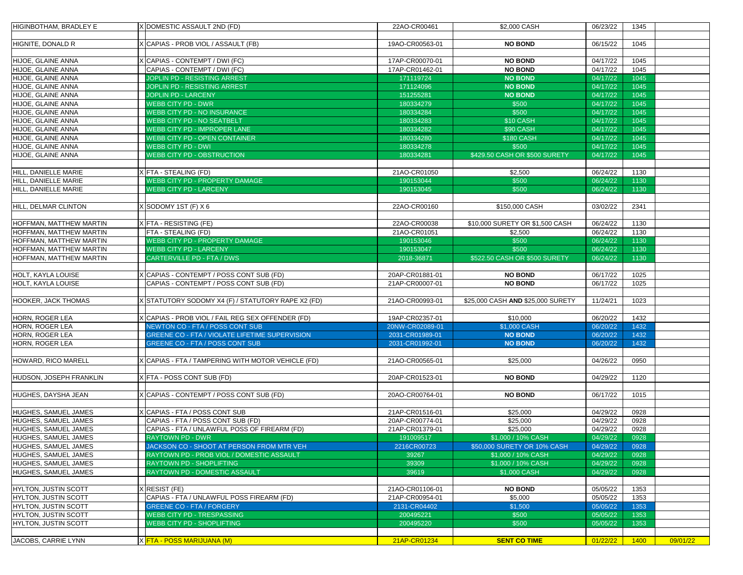| <b>HIGINBOTHAM, BRADLEY E</b>      | DOMESTIC ASSAULT 2ND (FD)                                                          | 22AO-CR00461                       | \$2,000 CASH                      | 06/23/22             | 1345         |          |
|------------------------------------|------------------------------------------------------------------------------------|------------------------------------|-----------------------------------|----------------------|--------------|----------|
| <b>HIGNITE, DONALD R</b>           | CAPIAS - PROB VIOL / ASSAULT (FB)                                                  | 19AO-CR00563-01                    | <b>NO BOND</b>                    | 06/15/22             | 1045         |          |
|                                    |                                                                                    |                                    |                                   |                      |              |          |
| HIJOE, GLAINE ANNA                 | CAPIAS - CONTEMPT / DWI (FC)                                                       | 17AP-CR00070-01                    | <b>NO BOND</b>                    | 04/17/22             | 1045         |          |
| HIJOE, GLAINE ANNA                 | CAPIAS - CONTEMPT / DWI (FC)                                                       | 17AP-CR01462-01                    | <b>NO BOND</b>                    | 04/17/22             | 1045         |          |
| HIJOE, GLAINE ANNA                 | <b>JOPLIN PD - RESISTING ARREST</b>                                                | 171119724                          | <b>NO BOND</b>                    | 04/17/22             | 1045         |          |
| HIJOE, GLAINE ANNA                 | <b>JOPLIN PD - RESISTING ARREST</b>                                                | 171124096                          | <b>NO BOND</b>                    | 04/17/22             | 1045         |          |
| HIJOE, GLAINE ANNA                 | <b>JOPLIN PD - LARCENY</b>                                                         | 151255281                          | <b>NO BOND</b>                    | 04/17/22             | 1045         |          |
| HIJOE, GLAINE ANNA                 | <b>WEBB CITY PD - DWR</b>                                                          | 180334279                          | \$500                             | 04/17/22             | 1045         |          |
| HIJOE, GLAINE ANNA                 | <b>WEBB CITY PD - NO INSURANCE</b>                                                 | 180334284                          | \$500                             | 04/17/22             | 1045         |          |
| HIJOE, GLAINE ANNA                 | <b>WEBB CITY PD - NO SEATBELT</b>                                                  | 180334283                          | \$10 CASH                         | 04/17/22             | 1045         |          |
| HIJOE, GLAINE ANNA                 | <b>WEBB CITY PD - IMPROPER LANE</b>                                                | 180334282                          | \$90 CASH                         | 04/17/22             | 1045         |          |
| HIJOE, GLAINE ANNA                 | <b>WEBB CITY PD - OPEN CONTAINER</b>                                               | 180334280                          | <b>\$180 CASH</b>                 | 04/17/22             | 1045         |          |
| HIJOE, GLAINE ANNA                 | <b>WEBB CITY PD - DWI</b>                                                          | 180334278                          | \$500                             | 04/17/22             | 1045         |          |
| HIJOE, GLAINE ANNA                 | <b>WEBB CITY PD - OBSTRUCTION</b>                                                  | 180334281                          | \$429.50 CASH OR \$500 SURETY     | 04/17/22             | 1045         |          |
|                                    |                                                                                    |                                    |                                   |                      |              |          |
| HILL, DANIELLE MARIE               | [FTA - STEALING (FD)                                                               | 21AO-CR01050                       | \$2,500                           | 06/24/22             | 1130         |          |
| HILL, DANIELLE MARIE               | <b>WEBB CITY PD - PROPERTY DAMAGE</b>                                              | 190153044                          | \$500                             | 06/24/22             | 1130         |          |
| HILL, DANIELLE MARIE               | <b>WEBB CITY PD - LARCENY</b>                                                      | 190153045                          | \$500                             | 06/24/22             | 1130         |          |
|                                    |                                                                                    |                                    |                                   |                      |              |          |
| <b>HILL, DELMAR CLINTON</b>        | SODOMY 1ST (F) X 6                                                                 | 22AO-CR00160                       | \$150,000 CASH                    | 03/02/22             | 2341         |          |
|                                    |                                                                                    |                                    |                                   |                      |              |          |
| <b>HOFFMAN, MATTHEW MARTIN</b>     | (FTA - RESISTING (FE)                                                              | 22AO-CR00038                       | \$10,000 SURETY OR \$1,500 CASH   | 06/24/22             | 1130         |          |
| <b>HOFFMAN, MATTHEW MARTIN</b>     | FTA - STEALING (FD)                                                                | 21AO-CR01051                       | \$2,500                           | 06/24/22             | 1130         |          |
| <b>HOFFMAN, MATTHEW MARTIN</b>     | <b>WEBB CITY PD - PROPERTY DAMAGE</b>                                              | 190153046                          | \$500                             | 06/24/22             | 1130         |          |
| <b>HOFFMAN, MATTHEW MARTIN</b>     | <b>WEBB CITY PD - LARCENY</b>                                                      | 190153047                          | \$500                             | 06/24/22             | 1130         |          |
| HOFFMAN, MATTHEW MARTIN            | <b>CARTERVILLE PD - FTA / DWS</b>                                                  | 2018-36871                         | \$522.50 CASH OR \$500 SURETY     | 06/24/22             | 1130         |          |
|                                    |                                                                                    |                                    |                                   |                      |              |          |
| <b>HOLT, KAYLA LOUISE</b>          | CAPIAS - CONTEMPT / POSS CONT SUB (FD)                                             | 20AP-CR01881-01                    | <b>NO BOND</b>                    | 06/17/22             | 1025         |          |
| <b>HOLT, KAYLA LOUISE</b>          | CAPIAS - CONTEMPT / POSS CONT SUB (FD)                                             | 21AP-CR00007-01                    | <b>NO BOND</b>                    | 06/17/22             | 1025         |          |
|                                    |                                                                                    |                                    |                                   |                      |              |          |
| <b>HOOKER, JACK THOMAS</b>         | STATUTORY SODOMY X4 (F) / STATUTORY RAPE X2 (FD)                                   | 21AO-CR00993-01                    | \$25,000 CASH AND \$25,000 SURETY | 11/24/21             | 1023         |          |
|                                    |                                                                                    |                                    |                                   |                      |              |          |
| HORN, ROGER LEA                    | CAPIAS - PROB VIOL / FAIL REG SEX OFFENDER (FD)<br>NEWTON CO - FTA / POSS CONT SUB | 19AP-CR02357-01                    | \$10,000                          | 06/20/22             | 1432         |          |
| HORN, ROGER LEA                    | GREENE CO - FTA / VIOLATE LIFETIME SUPERVISION                                     | 20NW-CR02089-01<br>2031-CR01989-01 | \$1,000 CASH<br><b>NO BOND</b>    | 06/20/22             | 1432<br>1432 |          |
| HORN, ROGER LEA<br>HORN, ROGER LEA | <b>GREENE CO - FTA / POSS CONT SUB</b>                                             | 2031-CR01992-01                    | <b>NO BOND</b>                    | 06/20/22<br>06/20/22 | 1432         |          |
|                                    |                                                                                    |                                    |                                   |                      |              |          |
| <b>HOWARD, RICO MARELL</b>         | CAPIAS - FTA / TAMPERING WITH MOTOR VEHICLE (FD)                                   | 21AO-CR00565-01                    | \$25,000                          | 04/26/22             | 0950         |          |
|                                    |                                                                                    |                                    |                                   |                      |              |          |
| HUDSON, JOSEPH FRANKLIN            | (FTA - POSS CONT SUB (FD)                                                          | 20AP-CR01523-01                    | <b>NO BOND</b>                    | 04/29/22             | 1120         |          |
|                                    |                                                                                    |                                    |                                   |                      |              |          |
| HUGHES, DAYSHA JEAN                | CAPIAS - CONTEMPT / POSS CONT SUB (FD)                                             | 20AO-CR00764-01                    | <b>NO BOND</b>                    | 06/17/22             | 1015         |          |
|                                    |                                                                                    |                                    |                                   |                      |              |          |
| <b>HUGHES, SAMUEL JAMES</b>        | CAPIAS - FTA / POSS CONT SUB                                                       | 21AP-CR01516-01                    | \$25,000                          | 04/29/22             | 0928         |          |
| <b>HUGHES, SAMUEL JAMES</b>        | CAPIAS - FTA / POSS CONT SUB (FD)                                                  | 20AP-CR00774-01                    | \$25,000                          | 04/29/22             | 0928         |          |
| <b>HUGHES, SAMUEL JAMES</b>        | CAPIAS - FTA / UNLAWFUL POSS OF FIREARM (FD)                                       | 21AP-CR01379-01                    | \$25,000                          | 04/29/22             | 0928         |          |
| <b>HUGHES, SAMUEL JAMES</b>        | <b>RAYTOWN PD - DWR</b>                                                            | 191009517                          | \$1,000 / 10% CASH                | 04/29/22             | 0928         |          |
| <b>HUGHES, SAMUEL JAMES</b>        | JACKSON CO - SHOOT AT PERSON FROM MTR VEH                                          | 2216CR00723                        | \$50,000 SURETY OR 10% CASH       | 04/29/22             | 0928         |          |
| <b>HUGHES, SAMUEL JAMES</b>        | RAYTOWN PD - PROB VIOL / DOMESTIC ASSAULT                                          | 39267                              | \$1,000 / 10% CASH                | 04/29/22             | 0928         |          |
| <b>HUGHES, SAMUEL JAMES</b>        | <b>RAYTOWN PD - SHOPLIFTING</b>                                                    | 39309                              | \$1,000 / 10% CASH                | 04/29/22             | 0928         |          |
| <b>HUGHES, SAMUEL JAMES</b>        | <b>RAYTOWN PD - DOMESTIC ASSAULT</b>                                               | 39619                              | \$1,000 CASH                      | 04/29/22             | 0928         |          |
|                                    |                                                                                    |                                    |                                   |                      |              |          |
| HYLTON, JUSTIN SCOTT               | <b>RESIST (FE)</b>                                                                 | 21AO-CR01106-01                    | <b>NO BOND</b>                    | 05/05/22             | 1353         |          |
| <b>HYLTON, JUSTIN SCOTT</b>        | CAPIAS - FTA / UNLAWFUL POSS FIREARM (FD)                                          | 21AP-CR00954-01                    | \$5,000                           | 05/05/22             | 1353         |          |
| <b>HYLTON, JUSTIN SCOTT</b>        | <b>GREENE CO - FTA / FORGERY</b>                                                   | 2131-CR04402                       | \$1,500                           | 05/05/22             | 1353         |          |
| HYLTON, JUSTIN SCOTT               | <b>WEBB CITY PD - TRESPASSING</b>                                                  | 200495221                          | \$500                             | 05/05/22             | 1353         |          |
| <b>HYLTON, JUSTIN SCOTT</b>        | <b>WEBB CITY PD - SHOPLIFTING</b>                                                  | 200495220                          | \$500                             | 05/05/22             | 1353         |          |
|                                    |                                                                                    |                                    |                                   |                      |              |          |
| JACOBS, CARRIE LYNN                | X FTA - POSS MARIJUANA (M)                                                         | 21AP-CR01234                       | <b>SENT CO TIME</b>               | 01/22/22             | 1400         | 09/01/22 |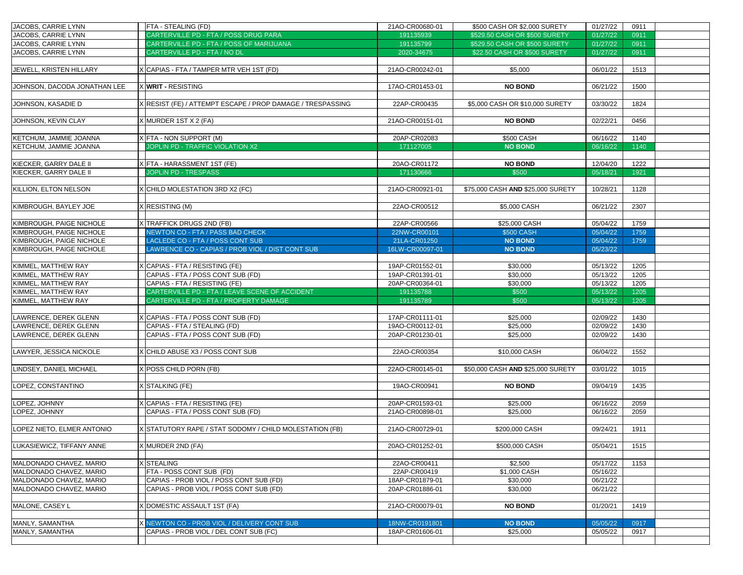| JACOBS, CARRIE LYNN             | <b>FTA - STEALING (FD)</b>                                           | 21AO-CR00680-01 | \$500 CASH OR \$2,000 SURETY      | 01/27/22             | 0911         |
|---------------------------------|----------------------------------------------------------------------|-----------------|-----------------------------------|----------------------|--------------|
| JACOBS, CARRIE LYNN             | CARTERVILLE PD - FTA / POSS DRUG PARA                                | 191135939       | \$529.50 CASH OR \$500 SURETY     | 01/27/22             | 0911         |
| JACOBS, CARRIE LYNN             | CARTERVILLE PD - FTA / POSS OF MARIJUANA                             | 191135799       | \$529.50 CASH OR \$500 SURETY     | 01/27/22             | 0911         |
| JACOBS, CARRIE LYNN             | CARTERVILLE PD - FTA / NO DL                                         | 2020-34675      | \$22.50 CASH OR \$500 SURETY      | 01/27/22             | 0911         |
|                                 |                                                                      |                 |                                   |                      |              |
| JEWELL, KRISTEN HILLARY         | X CAPIAS - FTA / TAMPER MTR VEH 1ST (FD)                             | 21AO-CR00242-01 | \$5,000                           | 06/01/22             | 1513         |
|                                 |                                                                      |                 |                                   |                      |              |
| JOHNSON, DACODA JONATHAN LEE    | X <b>WRIT -</b> RESISTING                                            | 17AO-CR01453-01 | <b>NO BOND</b>                    | 06/21/22             | 1500         |
|                                 |                                                                      |                 |                                   |                      |              |
| JOHNSON, KASADIE D              | X RESIST (FE) / ATTEMPT ESCAPE / PROP DAMAGE / TRESPASSING           | 22AP-CR00435    | \$5,000 CASH OR \$10,000 SURETY   | 03/30/22             | 1824         |
|                                 |                                                                      |                 |                                   |                      |              |
| JOHNSON, KEVIN CLAY             | X MURDER 1ST X 2 (FA)                                                | 21AO-CR00151-01 | <b>NO BOND</b>                    | 02/22/21             | 0456         |
|                                 |                                                                      |                 |                                   |                      |              |
| <b>KETCHUM, JAMMIE JOANNA</b>   | X FTA - NON SUPPORT (M)                                              | 20AP-CR02083    | \$500 CASH                        | 06/16/22             | 1140         |
| <b>KETCHUM, JAMMIE JOANNA</b>   | JOPLIN PD - TRAFFIC VIOLATION X2                                     | 171127005       | <b>NO BOND</b>                    | 06/16/22             | 1140         |
|                                 |                                                                      |                 |                                   |                      |              |
| KIECKER, GARRY DALE II          | XFTA - HARASSMENT 1ST (FE)                                           | 20AO-CR01172    | <b>NO BOND</b>                    | 12/04/20             | 1222         |
| KIECKER, GARRY DALE II          | <b>JOPLIN PD - TRESPASS</b>                                          | 171130666       | \$500                             | 05/18/21             | 1921         |
|                                 |                                                                      |                 |                                   |                      |              |
| KILLION, ELTON NELSON           | X CHILD MOLESTATION 3RD X2 (FC)                                      | 21AO-CR00921-01 | \$75,000 CASH AND \$25,000 SURETY | 10/28/21             | 1128         |
|                                 |                                                                      |                 |                                   |                      |              |
| KIMBROUGH, BAYLEY JOE           | X RESISTING (M)                                                      | 22AO-CR00512    | \$5,000 CASH                      | 06/21/22             | 2307         |
|                                 |                                                                      |                 |                                   |                      |              |
| <b>KIMBROUGH, PAIGE NICHOLE</b> | X TRAFFICK DRUGS 2ND (FB)                                            | 22AP-CR00566    | \$25,000 CASH                     | 05/04/22             | 1759         |
| KIMBROUGH, PAIGE NICHOLE        | NEWTON CO - FTA / PASS BAD CHECK                                     | 22NW-CR00101    | <b>\$500 CASH</b>                 | 05/04/22             | 1759         |
| KIMBROUGH, PAIGE NICHOLE        | LACLEDE CO - FTA / POSS CONT SUB                                     | 21LA-CR01250    | <b>NO BOND</b>                    | 05/04/22             | 1759         |
| KIMBROUGH, PAIGE NICHOLE        | <b>AWRENCE CO - CAPIAS / PROB VIOL / DIST CONT SUB</b>               | 16LW-CR00097-01 | <b>NO BOND</b>                    | 05/23/22             |              |
|                                 |                                                                      |                 |                                   |                      |              |
| KIMMEL, MATTHEW RAY             | X CAPIAS - FTA / RESISTING (FE)                                      | 19AP-CR01552-01 | \$30,000                          | 05/13/22             | 1205         |
| KIMMEL, MATTHEW RAY             | CAPIAS - FTA / POSS CONT SUB (FD)                                    | 19AP-CR01391-01 | \$30,000                          | 05/13/22             | 1205         |
| KIMMEL, MATTHEW RAY             | CAPIAS - FTA / RESISTING (FE)                                        | 20AP-CR00364-01 | \$30,000                          | 05/13/22             | 1205         |
| KIMMEL, MATTHEW RAY             | CARTERVILLE PD - FTA / LEAVE SCENE OF ACCIDENT                       | 191135788       | \$500                             | 05/13/22             | 1205         |
| KIMMEL, MATTHEW RAY             | CARTERVILLE PD - FTA / PROPERTY DAMAGE                               | 191135789       | \$500                             | 05/13/22             | 1205         |
|                                 |                                                                      |                 |                                   |                      |              |
| <b>LAWRENCE, DEREK GLENN</b>    | (CAPIAS - FTA / POSS CONT SUB (FD)                                   | 17AP-CR01111-01 | \$25,000                          | 02/09/22             | 1430         |
| LAWRENCE, DEREK GLENN           | CAPIAS - FTA / STEALING (FD)                                         | 19AO-CR00112-01 | \$25,000                          | 02/09/22             | 1430         |
| <b>LAWRENCE, DEREK GLENN</b>    | CAPIAS - FTA / POSS CONT SUB (FD)                                    | 20AP-CR01230-01 | \$25,000                          | 02/09/22             | 1430         |
|                                 |                                                                      |                 |                                   |                      |              |
| LAWYER, JESSICA NICKOLE         | X CHILD ABUSE X3 / POSS CONT SUB                                     | 22AO-CR00354    | \$10,000 CASH                     | 06/04/22             | 1552         |
|                                 |                                                                      |                 |                                   |                      |              |
| LINDSEY, DANIEL MICHAEL         | X POSS CHILD PORN (FB)                                               | 22AO-CR00145-01 | \$50,000 CASH AND \$25,000 SURETY | 03/01/22             | 1015         |
|                                 |                                                                      |                 |                                   |                      |              |
| LOPEZ, CONSTANTINO              | X STALKING (FE)                                                      | 19AO-CR00941    | <b>NO BOND</b>                    | 09/04/19             | 1435         |
|                                 |                                                                      |                 |                                   |                      |              |
| LOPEZ, JOHNNY<br>LOPEZ, JOHNNY  | X CAPIAS - FTA / RESISTING (FE)<br>CAPIAS - FTA / POSS CONT SUB (FD) | 20AP-CR01593-01 | \$25,000                          | 06/16/22<br>06/16/22 | 2059<br>2059 |
|                                 |                                                                      | 21AO-CR00898-01 | \$25,000                          |                      |              |
| LOPEZ NIETO, ELMER ANTONIO      | X STATUTORY RAPE / STAT SODOMY / CHILD MOLESTATION (FB)              | 21AO-CR00729-01 | \$200,000 CASH                    | 09/24/21             | 1911         |
|                                 |                                                                      |                 |                                   |                      |              |
| LUKASIEWICZ, TIFFANY ANNE       | X MURDER 2ND (FA)                                                    | 20AO-CR01252-01 | \$500,000 CASH                    | 05/04/21             | 1515         |
|                                 |                                                                      |                 |                                   |                      |              |
| MALDONADO CHAVEZ, MARIO         | <b>X</b> STEALING                                                    | 22AO-CR00411    | \$2,500                           | 05/17/22             | 1153         |
| MALDONADO CHAVEZ, MARIO         | FTA - POSS CONT SUB (FD)                                             | 22AP-CR00419    | \$1,000 CASH                      | 05/16/22             |              |
| MALDONADO CHAVEZ, MARIO         | CAPIAS - PROB VIOL / POSS CONT SUB (FD)                              | 18AP-CR01879-01 | \$30,000                          | 06/21/22             |              |
| MALDONADO CHAVEZ, MARIO         | CAPIAS - PROB VIOL / POSS CONT SUB (FD)                              | 20AP-CR01886-01 | \$30,000                          | 06/21/22             |              |
|                                 |                                                                      |                 |                                   |                      |              |
| MALONE, CASEY L                 | (DOMESTIC ASSAULT 1ST (FA)                                           | 21AO-CR00079-01 | <b>NO BOND</b>                    | 01/20/21             | 1419         |
|                                 |                                                                      |                 |                                   |                      |              |
| MANLY, SAMANTHA                 | X NEWTON CO - PROB VIOL / DELIVERY CONT SUB                          | 18NW-CR0191801  | <b>NO BOND</b>                    | 05/05/22             | 0917         |
| MANLY, SAMANTHA                 | CAPIAS - PROB VIOL / DEL CONT SUB (FC)                               | 18AP-CR01606-01 | \$25,000                          | 05/05/22             | 0917         |
|                                 |                                                                      |                 |                                   |                      |              |
|                                 |                                                                      |                 |                                   |                      |              |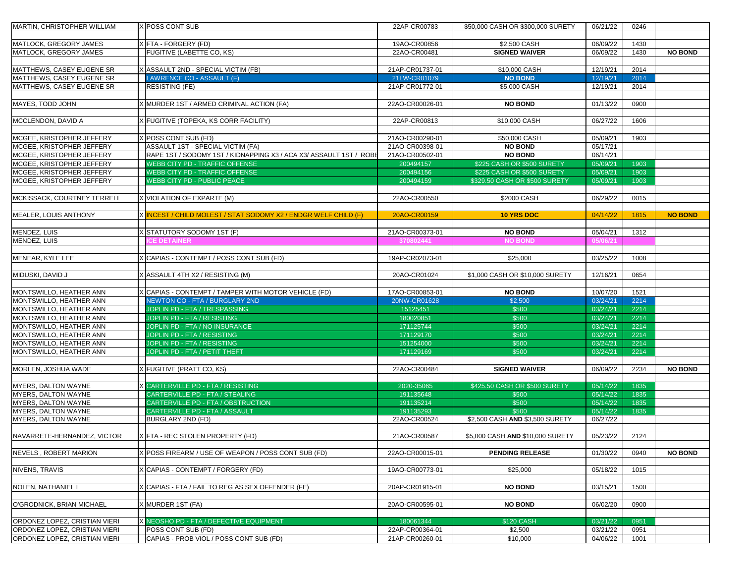| MARTIN, CHRISTOPHER WILLIAM          | <b>POSS CONT SUB</b>                                               | 22AP-CR00783    | \$50,000 CASH OR \$300,000 SURETY | 06/21/22 | 0246 |                |
|--------------------------------------|--------------------------------------------------------------------|-----------------|-----------------------------------|----------|------|----------------|
| MATLOCK, GREGORY JAMES               | X FTA - FORGERY (FD)                                               | 19AO-CR00856    | \$2,500 CASH                      | 06/09/22 | 1430 |                |
| MATLOCK, GREGORY JAMES               | FUGITIVE (LABETTE CO, KS)                                          | 22AO-CR00481    | <b>SIGNED WAIVER</b>              | 06/09/22 | 1430 | <b>NO BOND</b> |
|                                      |                                                                    |                 |                                   |          |      |                |
| MATTHEWS, CASEY EUGENE SR            | ASSAULT 2ND - SPECIAL VICTIM (FB)                                  | 21AP-CR01737-01 | \$10,000 CASH                     | 12/19/21 | 2014 |                |
| MATTHEWS, CASEY EUGENE SR            | <b>AWRENCE CO - ASSAULT (F)</b>                                    | 21LW-CR01079    | <b>NO BOND</b>                    | 12/19/21 | 2014 |                |
| MATTHEWS, CASEY EUGENE SR            | <b>RESISTING (FE)</b>                                              | 21AP-CR01772-01 | \$5,000 CASH                      | 12/19/21 | 2014 |                |
|                                      |                                                                    |                 |                                   |          |      |                |
| <b>MAYES, TODD JOHN</b>              | MURDER 1ST / ARMED CRIMINAL ACTION (FA)                            | 22AO-CR00026-01 | <b>NO BOND</b>                    | 01/13/22 | 0900 |                |
|                                      |                                                                    |                 |                                   |          |      |                |
| <b>MCCLENDON, DAVID A</b>            | <b>FUGITIVE (TOPEKA, KS CORR FACILITY)</b>                         | 22AP-CR00813    | \$10,000 CASH                     | 06/27/22 | 1606 |                |
| MCGEE, KRISTOPHER JEFFERY            | POSS CONT SUB (FD)                                                 | 21AO-CR00290-01 | \$50,000 CASH                     | 05/09/21 | 1903 |                |
| MCGEE, KRISTOPHER JEFFERY            | <b>ASSAULT 1ST - SPECIAL VICTIM (FA)</b>                           | 21AO-CR00398-01 | <b>NO BOND</b>                    | 05/17/21 |      |                |
| MCGEE, KRISTOPHER JEFFERY            | RAPE 1ST / SODOMY 1ST / KIDNAPPING X3 / ACA X3/ ASSAULT 1ST / ROBE | 21AO-CR00502-01 | <b>NO BOND</b>                    | 06/14/21 |      |                |
| MCGEE, KRISTOPHER JEFFERY            | <b>WEBB CITY PD - TRAFFIC OFFENSE</b>                              | 200494157       | \$225 CASH OR \$500 SURETY        | 05/09/21 | 1903 |                |
| MCGEE, KRISTOPHER JEFFERY            | <b>WEBB CITY PD - TRAFFIC OFFENSE</b>                              | 200494156       | \$225 CASH OR \$500 SURETY        | 05/09/21 | 1903 |                |
| MCGEE, KRISTOPHER JEFFERY            | <b>WEBB CITY PD - PUBLIC PEACE</b>                                 | 200494159       | \$329.50 CASH OR \$500 SURETY     | 05/09/21 | 1903 |                |
|                                      |                                                                    |                 |                                   |          |      |                |
| <b>MCKISSACK, COURTNEY TERRELL</b>   | X VIOLATION OF EXPARTE (M)                                         | 22AO-CR00550    | \$2000 CASH                       | 06/29/22 | 0015 |                |
|                                      |                                                                    |                 |                                   |          |      |                |
| MEALER, LOUIS ANTHONY                | X INCEST / CHILD MOLEST / STAT SODOMY X2 / ENDGR WELF CHILD (F)    | 20AO-CR00159    | <b>10 YRS DOC</b>                 | 04/14/22 | 1815 | <b>NO BOND</b> |
|                                      |                                                                    |                 |                                   |          |      |                |
| MENDEZ, LUIS                         | STATUTORY SODOMY 1ST (F)                                           | 21AO-CR00373-01 | <b>NO BOND</b>                    | 05/04/21 | 1312 |                |
| MENDEZ, LUIS                         | CE DETAINER                                                        | 370802441       | <b>NO BOND</b>                    | 05/06/21 |      |                |
|                                      |                                                                    |                 |                                   |          |      |                |
| MENEAR, KYLE LEE                     | CAPIAS - CONTEMPT / POSS CONT SUB (FD)                             | 19AP-CR02073-01 | \$25,000                          | 03/25/22 | 1008 |                |
|                                      |                                                                    |                 |                                   |          |      |                |
| MIDUSKI, DAVID J                     | X ASSAULT 4TH X2 / RESISTING (M)                                   | 20AO-CR01024    | \$1,000 CASH OR \$10,000 SURETY   | 12/16/21 | 0654 |                |
|                                      |                                                                    |                 |                                   |          |      |                |
| MONTSWILLO, HEATHER ANN              | CAPIAS - CONTEMPT / TAMPER WITH MOTOR VEHICLE (FD)                 | 17AO-CR00853-01 | <b>NO BOND</b>                    | 10/07/20 | 1521 |                |
| MONTSWILLO, HEATHER ANN              | <b>NEWTON CO - FTA / BURGLARY 2ND</b>                              | 20NW-CR01628    | \$2,500                           | 03/24/21 | 2214 |                |
| MONTSWILLO, HEATHER ANN              | JOPLIN PD - FTA / TRESPASSING                                      | 15125451        | \$500                             | 03/24/21 | 2214 |                |
| MONTSWILLO, HEATHER ANN              | JOPLIN PD - FTA / RESISTING                                        | 180020851       | \$500                             | 03/24/21 | 2214 |                |
| MONTSWILLO, HEATHER ANN              | JOPLIN PD - FTA / NO INSURANCE                                     | 171125744       | \$500                             | 03/24/21 | 2214 |                |
| MONTSWILLO, HEATHER ANN              | <b>JOPLIN PD - FTA / RESISTING</b>                                 | 171129170       | \$500                             | 03/24/21 | 2214 |                |
| MONTSWILLO, HEATHER ANN              | JOPLIN PD - FTA / RESISTING                                        | 151254000       | \$500                             | 03/24/21 | 2214 |                |
| MONTSWILLO, HEATHER ANN              | JOPLIN PD - FTA / PETIT THEFT                                      | 171129169       | \$500                             | 03/24/21 | 2214 |                |
|                                      |                                                                    |                 |                                   |          |      |                |
| MORLEN, JOSHUA WADE                  | <b>FUGITIVE (PRATT CO, KS)</b>                                     | 22AO-CR00484    | <b>SIGNED WAIVER</b>              | 06/09/22 | 2234 | <b>NO BOND</b> |
|                                      |                                                                    |                 |                                   |          |      |                |
| <b>MYERS, DALTON WAYNE</b>           | <b>X CARTERVILLE PD - FTA / RESISTING</b>                          | 2020-35065      | \$425.50 CASH OR \$500 SURETY     | 05/14/22 | 1835 |                |
| <b>MYERS, DALTON WAYNE</b>           | CARTERVILLE PD - FTA / STEALING                                    | 191135648       | \$500                             | 05/14/22 | 1835 |                |
| <b>MYERS, DALTON WAYNE</b>           | CARTERVILLE PD - FTA / OBSTRUCTION                                 | 191135214       | \$500                             | 05/14/22 | 1835 |                |
| <b>MYERS, DALTON WAYNE</b>           | CARTERVILLE PD - FTA / ASSAULT                                     | 191135293       | \$500                             | 05/14/22 | 1835 |                |
| <b>IMYERS, DALTON WAYNE</b>          | <b>BURGLARY 2ND (FD)</b>                                           | 22AO-CR00524    | \$2,500 CASH AND \$3,500 SURETY   | 06/27/22 |      |                |
| NAVARRETE-HERNANDEZ, VICTOR          | X FTA - REC STOLEN PROPERTY (FD)                                   | 21AO-CR00587    | \$5,000 CASH AND \$10,000 SURETY  | 05/23/22 | 2124 |                |
|                                      |                                                                    |                 |                                   |          |      |                |
| <b>NEVELS, ROBERT MARION</b>         | POSS FIREARM / USE OF WEAPON / POSS CONT SUB (FD)                  | 22AO-CR00015-01 | <b>PENDING RELEASE</b>            | 01/30/22 | 0940 | <b>NO BOND</b> |
| NIVENS, TRAVIS                       | CAPIAS - CONTEMPT / FORGERY (FD)                                   | 19AO-CR00773-01 | \$25,000                          | 05/18/22 | 1015 |                |
|                                      |                                                                    |                 |                                   |          |      |                |
|                                      |                                                                    |                 | <b>NO BOND</b>                    |          |      |                |
| NOLEN, NATHANIEL L                   | CAPIAS - FTA / FAIL TO REG AS SEX OFFENDER (FE)                    | 20AP-CR01915-01 |                                   | 03/15/21 | 1500 |                |
|                                      |                                                                    |                 |                                   |          |      |                |
| O'GRODNICK, BRIAN MICHAEL            | MURDER 1ST (FA)                                                    | 20AO-CR00595-01 | <b>NO BOND</b>                    | 06/02/20 | 0900 |                |
|                                      |                                                                    |                 |                                   |          |      |                |
| <b>ORDONEZ LOPEZ, CRISTIAN VIERI</b> | X NEOSHO PD - FTA / DEFECTIVE EQUIPMENT                            | 180061344       | <b>\$120 CASH</b>                 | 03/21/22 | 0951 |                |
| <b>ORDONEZ LOPEZ, CRISTIAN VIERI</b> | POSS CONT SUB (FD)                                                 | 22AP-CR00364-01 | \$2,500                           | 03/21/22 | 0951 |                |
| <b>ORDONEZ LOPEZ, CRISTIAN VIERI</b> | CAPIAS - PROB VIOL / POSS CONT SUB (FD)                            | 21AP-CR00260-01 | \$10,000                          | 04/06/22 | 1001 |                |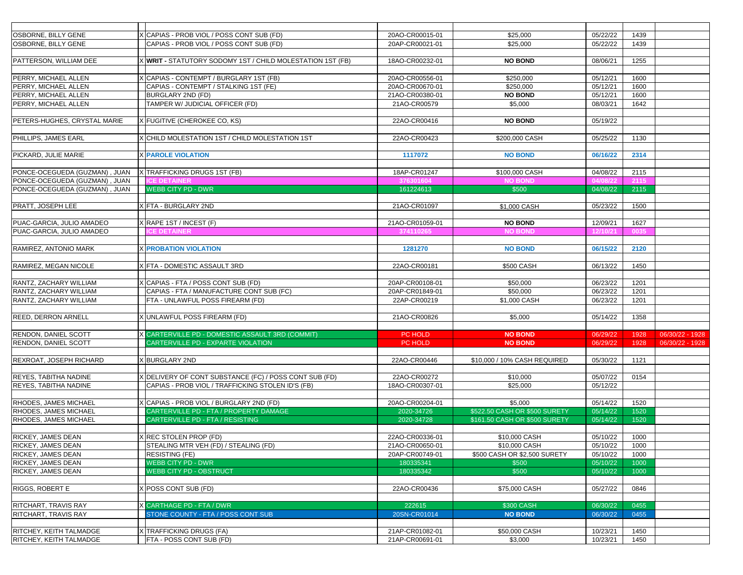| <b>OSBORNE, BILLY GENE</b>          | X CAPIAS - PROB VIOL / POSS CONT SUB (FD)                                        | 20AO-CR00015-01 | \$25,000                      | 05/22/22 | 1439 |                 |
|-------------------------------------|----------------------------------------------------------------------------------|-----------------|-------------------------------|----------|------|-----------------|
| <b>OSBORNE, BILLY GENE</b>          | CAPIAS - PROB VIOL / POSS CONT SUB (FD)                                          | 20AP-CR00021-01 | \$25,000                      | 05/22/22 | 1439 |                 |
|                                     |                                                                                  |                 |                               |          |      |                 |
| <b>PATTERSON, WILLIAM DEE</b>       | X WRIT - STATUTORY SODOMY 1ST / CHILD MOLESTATION 1ST (FB)                       | 18AO-CR00232-01 | <b>NO BOND</b>                | 08/06/21 | 1255 |                 |
|                                     |                                                                                  |                 |                               |          |      |                 |
|                                     |                                                                                  | 20AO-CR00556-01 |                               |          |      |                 |
| <b>PERRY, MICHAEL ALLEN</b>         | X CAPIAS - CONTEMPT / BURGLARY 1ST (FB)<br>CAPIAS - CONTEMPT / STALKING 1ST (FE) |                 | \$250,000                     | 05/12/21 | 1600 |                 |
| <b>PERRY, MICHAEL ALLEN</b>         |                                                                                  | 20AO-CR00670-01 | \$250,000                     | 05/12/21 | 1600 |                 |
| <b>PERRY, MICHAEL ALLEN</b>         | <b>BURGLARY 2ND (FD)</b>                                                         | 21AO-CR00380-01 | <b>NO BOND</b>                | 05/12/21 | 1600 |                 |
| <b>PERRY, MICHAEL ALLEN</b>         | TAMPER W/ JUDICIAL OFFICER (FD)                                                  | 21AO-CR00579    | \$5,000                       | 08/03/21 | 1642 |                 |
|                                     |                                                                                  |                 |                               |          |      |                 |
| <b>PETERS-HUGHES, CRYSTAL MARIE</b> | X FUGITIVE (CHEROKEE CO, KS)                                                     | 22AO-CR00416    | <b>NO BOND</b>                | 05/19/22 |      |                 |
|                                     |                                                                                  |                 |                               |          |      |                 |
| <b>PHILLIPS, JAMES EARL</b>         | X CHILD MOLESTATION 1ST / CHILD MOLESTATION 1ST                                  | 22AO-CR00423    | \$200,000 CASH                | 05/25/22 | 1130 |                 |
|                                     |                                                                                  |                 |                               |          |      |                 |
| <b>PICKARD, JULIE MARIE</b>         | <b>X PAROLE VIOLATION</b>                                                        | 1117072         | <b>NO BOND</b>                | 06/16/22 | 2314 |                 |
|                                     |                                                                                  |                 |                               |          |      |                 |
| PONCE-OCEGUEDA (GUZMAN), JUAN       | XTRAFFICKING DRUGS 1ST (FB)                                                      | 18AP-CR01247    | \$100,000 CASH                | 04/08/22 | 2115 |                 |
| PONCE-OCEGUEDA (GUZMAN), JUAN       | <b>CE DETAINER</b>                                                               | 376301604       | <b>NO BOND</b>                | 04/08/22 | 2115 |                 |
| PONCE-OCEGUEDA (GUZMAN), JUAN       | <b>WEBB CITY PD - DWR</b>                                                        | 161224613       | \$500                         | 04/08/22 | 2115 |                 |
|                                     |                                                                                  |                 |                               |          |      |                 |
| <b>PRATT, JOSEPH LEE</b>            | XFTA - BURGLARY 2ND                                                              | 21AO-CR01097    | \$1,000 CASH                  | 05/23/22 | 1500 |                 |
|                                     |                                                                                  |                 |                               |          |      |                 |
| PUAC-GARCIA, JULIO AMADEO           | X RAPE 1ST / INCEST (F)                                                          | 21AO-CR01059-01 | <b>NO BOND</b>                | 12/09/21 | 1627 |                 |
| PUAC-GARCIA, JULIO AMADEO           | <b>E DETAINER</b>                                                                | 374110265       | <b>NO BOND</b>                | 12/10/21 | 0035 |                 |
|                                     |                                                                                  |                 |                               |          |      |                 |
| <b>RAMIREZ, ANTONIO MARK</b>        | <b>X PROBATION VIOLATION</b>                                                     | 1281270         | <b>NO BOND</b>                | 06/15/22 | 2120 |                 |
|                                     |                                                                                  |                 |                               |          |      |                 |
| <b>RAMIREZ, MEGAN NICOLE</b>        | X FTA - DOMESTIC ASSAULT 3RD                                                     | 22AO-CR00181    | \$500 CASH                    | 06/13/22 | 1450 |                 |
|                                     |                                                                                  |                 |                               |          |      |                 |
| RANTZ, ZACHARY WILLIAM              | X CAPIAS - FTA / POSS CONT SUB (FD)                                              | 20AP-CR00108-01 | \$50,000                      | 06/23/22 | 1201 |                 |
| <b>RANTZ, ZACHARY WILLIAM</b>       | CAPIAS - FTA / MANUFACTURE CONT SUB (FC)                                         | 20AP-CR01849-01 | \$50,000                      | 06/23/22 | 1201 |                 |
| RANTZ, ZACHARY WILLIAM              | <b>FTA - UNLAWFUL POSS FIREARM (FD)</b>                                          | 22AP-CR00219    | \$1,000 CASH                  | 06/23/22 | 1201 |                 |
|                                     |                                                                                  |                 |                               |          |      |                 |
| <b>REED, DERRON ARNELL</b>          | X UNLAWFUL POSS FIREARM (FD)                                                     | 21AO-CR00826    | \$5,000                       | 05/14/22 | 1358 |                 |
|                                     |                                                                                  |                 |                               |          |      |                 |
| <b>RENDON, DANIEL SCOTT</b>         | X CARTERVILLE PD - DOMESTIC ASSAULT 3RD (COMMIT)                                 | PC HOLD         | <b>NO BOND</b>                | 06/29/22 | 1928 | 06/30/22 - 1928 |
| <b>RENDON, DANIEL SCOTT</b>         | <b>CARTERVILLE PD - EXPARTE VIOLATION</b>                                        | PC HOLD         | <b>NO BOND</b>                | 06/29/22 | 1928 | 06/30/22 - 1928 |
|                                     |                                                                                  |                 |                               |          |      |                 |
| <b>REXROAT, JOSEPH RICHARD</b>      | X BURGLARY 2ND                                                                   | 22AO-CR00446    | \$10,000 / 10% CASH REQUIRED  | 05/30/22 | 1121 |                 |
|                                     |                                                                                  |                 |                               |          |      |                 |
| <b>REYES, TABITHA NADINE</b>        | X DELIVERY OF CONT SUBSTANCE (FC) / POSS CONT SUB (FD)                           | 22AO-CR00272    | \$10,000                      | 05/07/22 | 0154 |                 |
| <b>REYES, TABITHA NADINE</b>        | CAPIAS - PROB VIOL / TRAFFICKING STOLEN ID'S (FB)                                | 18AO-CR00307-01 | \$25,000                      | 05/12/22 |      |                 |
|                                     |                                                                                  |                 |                               |          |      |                 |
| <b>RHODES, JAMES MICHAEL</b>        | X CAPIAS - PROB VIOL / BURGLARY 2ND (FD)                                         | 20AO-CR00204-01 | \$5,000                       | 05/14/22 | 1520 |                 |
| <b>RHODES, JAMES MICHAEL</b>        | CARTERVILLE PD - FTA / PROPERTY DAMAGE                                           | 2020-34726      | \$522.50 CASH OR \$500 SURETY | 05/14/22 | 1520 |                 |
| <b>RHODES, JAMES MICHAEL</b>        | CARTERVILLE PD - FTA / RESISTING                                                 | 2020-34728      | \$161.50 CASH OR \$500 SURETY | 05/14/22 | 1520 |                 |
|                                     |                                                                                  |                 |                               |          |      |                 |
| <b>RICKEY, JAMES DEAN</b>           | X REC STOLEN PROP (FD)                                                           | 22AO-CR00336-01 | \$10,000 CASH                 | 05/10/22 | 1000 |                 |
| <b>RICKEY, JAMES DEAN</b>           | STEALING MTR VEH (FD) / STEALING (FD)                                            | 21AO-CR00650-01 | \$10,000 CASH                 | 05/10/22 | 1000 |                 |
| <b>RICKEY, JAMES DEAN</b>           | <b>RESISTING (FE)</b>                                                            | 20AP-CR00749-01 | \$500 CASH OR \$2,500 SURETY  | 05/10/22 | 1000 |                 |
| <b>RICKEY, JAMES DEAN</b>           | <b>WEBB CITY PD - DWR</b>                                                        | 180335341       | \$500                         | 05/10/22 | 1000 |                 |
| <b>RICKEY, JAMES DEAN</b>           | <b>WEBB CITY PD - OBSTRUCT</b>                                                   | 180335342       | \$500                         | 05/10/22 | 1000 |                 |
|                                     |                                                                                  |                 |                               |          |      |                 |
| <b>RIGGS, ROBERT E</b>              | X POSS CONT SUB (FD)                                                             | 22AO-CR00436    | \$75,000 CASH                 | 05/27/22 | 0846 |                 |
|                                     |                                                                                  |                 |                               |          |      |                 |
| <b>RITCHART, TRAVIS RAY</b>         | <b>X CARTHAGE PD - FTA / DWR</b>                                                 | 222615          | \$300 CASH                    | 06/30/22 | 0455 |                 |
| <b>RITCHART, TRAVIS RAY</b>         | STONE COUNTY - FTA / POSS CONT SUB                                               | 20SN-CR01014    | <b>NO BOND</b>                | 06/30/22 | 0455 |                 |
|                                     |                                                                                  |                 |                               |          |      |                 |
| <b>RITCHEY, KEITH TALMADGE</b>      | X TRAFFICKING DRUGS (FA)                                                         | 21AP-CR01082-01 | \$50,000 CASH                 | 10/23/21 | 1450 |                 |
| <b>RITCHEY, KEITH TALMADGE</b>      | <b>FTA - POSS CONT SUB (FD)</b>                                                  | 21AP-CR00691-01 | \$3,000                       | 10/23/21 | 1450 |                 |
|                                     |                                                                                  |                 |                               |          |      |                 |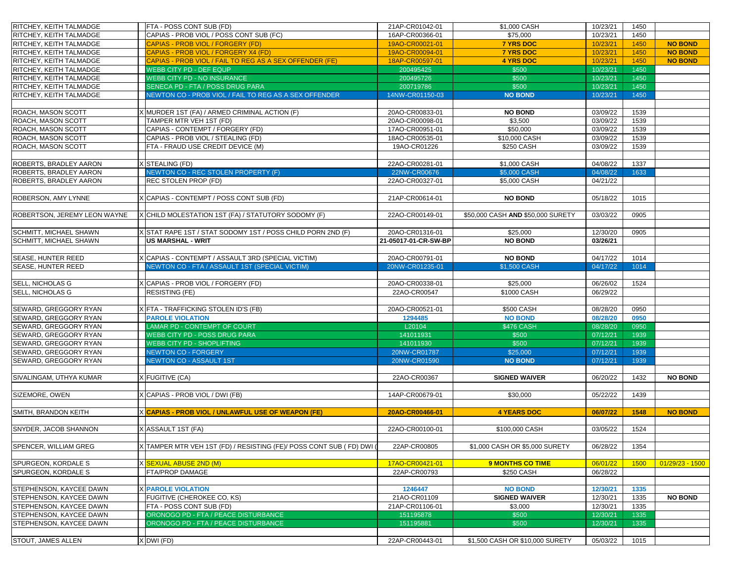| <b>RITCHEY, KEITH TALMADGE</b>                                   | FTA - POSS CONT SUB (FD)                                              | 21AP-CR01042-01              | \$1,000 CASH                      | 10/23/21             | 1450         |                   |
|------------------------------------------------------------------|-----------------------------------------------------------------------|------------------------------|-----------------------------------|----------------------|--------------|-------------------|
| <b>RITCHEY, KEITH TALMADGE</b>                                   | CAPIAS - PROB VIOL / POSS CONT SUB (FC)                               | 16AP-CR00366-01              | \$75,000                          | 10/23/21             | 1450         |                   |
| <b>RITCHEY, KEITH TALMADGE</b>                                   | CAPIAS - PROB VIOL / FORGERY (FD)                                     | 19AO-CR00021-01              | <b>7 YRS DOC</b>                  | 10/23/21             | 1450         | <b>NO BOND</b>    |
| <b>RITCHEY, KEITH TALMADGE</b>                                   | CAPIAS - PROB VIOL / FORGERY X4 (FD)                                  | 19AO-CR00094-01              | <b>7 YRS DOC</b>                  | 10/23/21             | 1450         | <b>NO BOND</b>    |
| <b>RITCHEY, KEITH TALMADGE</b>                                   | CAPIAS - PROB VIOL / FAIL TO REG AS A SEX OFFENDER (FE)               | 18AP-CR00597-01              | <b>4 YRS DOC</b>                  | 10/23/21             | 1450         | <b>NO BOND</b>    |
| <b>RITCHEY, KEITH TALMADGE</b>                                   | <b>WEBB CITY PD - DEF EQUP</b>                                        | 200495425                    | \$500                             | 10/23/21             | 1450         |                   |
| <b>RITCHEY, KEITH TALMADGE</b>                                   | <b>WEBB CITY PD - NO INSURANCE</b>                                    | 200495726                    | \$500                             | 10/23/21             | 1450         |                   |
| <b>RITCHEY, KEITH TALMADGE</b>                                   | SENECA PD - FTA / POSS DRUG PARA                                      | 200719786                    | \$500                             | 10/23/21             | 1450         |                   |
| <b>RITCHEY, KEITH TALMADGE</b>                                   | NEWTON CO - PROB VIOL / FAIL TO REG AS A SEX OFFENDER                 | 14NW-CR01150-03              | <b>NO BOND</b>                    | 10/23/21             | 1450         |                   |
|                                                                  |                                                                       |                              |                                   |                      |              |                   |
| <b>ROACH, MASON SCOTT</b>                                        | MURDER 1ST (FA) / ARMED CRIMINAL ACTION (F)                           | 20AO-CR00833-01              | <b>NO BOND</b>                    | 03/09/22             | 1539         |                   |
| <b>ROACH, MASON SCOTT</b>                                        | TAMPER MTR VEH 1ST (FD)                                               | 20AO-CR00098-01              | \$3,500                           | 03/09/22             | 1539         |                   |
| <b>ROACH, MASON SCOTT</b>                                        | CAPIAS - CONTEMPT / FORGERY (FD)                                      | 17AO-CR00951-01              | \$50,000                          | 03/09/22             | 1539         |                   |
| <b>ROACH, MASON SCOTT</b>                                        | CAPIAS - PROB VIOL / STEALING (FD)                                    | 18AO-CR00535-01              | \$10,000 CASH                     | 03/09/22             | 1539         |                   |
| <b>ROACH, MASON SCOTT</b>                                        | FTA - FRAUD USE CREDIT DEVICE (M)                                     | 19AO-CR01226                 | \$250 CASH                        | 03/09/22             | 1539         |                   |
|                                                                  |                                                                       |                              |                                   |                      |              |                   |
| <b>ROBERTS, BRADLEY AARON</b>                                    | <b>STEALING (FD)</b>                                                  | 22AO-CR00281-01              | \$1,000 CASH                      | 04/08/22             | 1337         |                   |
| <b>ROBERTS, BRADLEY AARON</b>                                    | NEWTON CO - REC STOLEN PROPERTY (F)                                   | 22NW-CR00676                 | \$5,000 CASH                      | 04/08/22             | 1633         |                   |
| <b>ROBERTS, BRADLEY AARON</b>                                    | <b>REC STOLEN PROP (FD)</b>                                           | 22AO-CR00327-01              | \$5,000 CASH                      | 04/21/22             |              |                   |
|                                                                  |                                                                       |                              |                                   |                      |              |                   |
| <b>ROBERSON, AMY LYNNE</b>                                       | CAPIAS - CONTEMPT / POSS CONT SUB (FD)                                | 21AP-CR00614-01              | <b>NO BOND</b>                    | 05/18/22             | 1015         |                   |
|                                                                  |                                                                       |                              |                                   |                      |              |                   |
| <b>ROBERTSON, JEREMY LEON WAYNE</b>                              | CHILD MOLESTATION 1ST (FA) / STATUTORY SODOMY (F)                     | 22AO-CR00149-01              | \$50,000 CASH AND \$50,000 SURETY | 03/03/22             | 0905         |                   |
|                                                                  |                                                                       |                              |                                   |                      |              |                   |
| <b>SCHMITT, MICHAEL SHAWN</b>                                    | STAT RAPE 1ST / STAT SODOMY 1ST / POSS CHILD PORN 2ND (F)             | 20AO-CR01316-01              | \$25,000                          | 12/30/20             | 0905         |                   |
| <b>SCHMITT, MICHAEL SHAWN</b>                                    | US MARSHAL - WRIT                                                     | 21-05017-01-CR-SW-BP         | <b>NO BOND</b>                    | 03/26/21             |              |                   |
|                                                                  |                                                                       |                              |                                   |                      |              |                   |
| <b>SEASE, HUNTER REED</b>                                        | CAPIAS - CONTEMPT / ASSAULT 3RD (SPECIAL VICTIM)                      | 20AO-CR00791-01              | <b>NO BOND</b>                    | 04/17/22             | 1014         |                   |
| <b>SEASE, HUNTER REED</b>                                        | NEWTON CO - FTA / ASSAULT 1ST (SPECIAL VICTIM)                        | 20NW-CR01235-01              | \$1,500 CASH                      | 04/17/22             | 1014         |                   |
| SELL, NICHOLAS G                                                 | X CAPIAS - PROB VIOL / FORGERY (FD)                                   | 20AO-CR00338-01              | \$25,000                          | 06/26/02             | 1524         |                   |
| <b>SELL, NICHOLAS G</b>                                          | <b>RESISTING (FE)</b>                                                 | 22AO-CR00547                 | \$1000 CASH                       | 06/29/22             |              |                   |
|                                                                  |                                                                       |                              |                                   |                      |              |                   |
| <b>SEWARD, GREGGORY RYAN</b>                                     | (FTA - TRAFFICKING STOLEN ID'S (FB)                                   | 20AO-CR00521-01              | \$500 CASH                        | 08/28/20             | 0950         |                   |
| <b>SEWARD, GREGGORY RYAN</b>                                     | <b>PAROLE VIOLATION</b>                                               | 1294485                      | <b>NO BOND</b>                    | 08/28/20             | 0950         |                   |
| <b>SEWARD, GREGGORY RYAN</b>                                     | <b>LAMAR PD - CONTEMPT OF COURT</b>                                   | L20104                       | <b>\$476 CASH</b>                 | 08/28/20             | 0950         |                   |
| <b>SEWARD, GREGGORY RYAN</b>                                     | <b>WEBB CITY PD - POSS DRUG PARA</b>                                  | 141011931                    | \$500                             | 07/12/21             | 1939         |                   |
| SEWARD, GREGGORY RYAN                                            | <b><i>NEBB CITY PD - SHOPLIFTING</i></b>                              | 141011930                    | \$500                             | 07/12/21             | 1939         |                   |
| SEWARD, GREGGORY RYAN                                            | <b>NEWTON CO - FORGERY</b>                                            | 20NW-CR01787                 | \$25,000                          | 07/12/21             | 1939         |                   |
| SEWARD, GREGGORY RYAN                                            | <b>NEWTON CO - ASSAULT 1ST</b>                                        | 20NW-CR01590                 | <b>NO BOND</b>                    | 07/12/21             | 1939         |                   |
|                                                                  |                                                                       |                              |                                   |                      |              |                   |
| <b>SIVALINGAM, UTHYA KUMAR</b>                                   | <b>FUGITIVE (CA)</b>                                                  | 22AO-CR00367                 | <b>SIGNED WAIVER</b>              | 06/20/22             | 1432         | <b>NO BOND</b>    |
|                                                                  |                                                                       |                              |                                   |                      |              |                   |
| SIZEMORE, OWEN                                                   | CAPIAS - PROB VIOL / DWI (FB)                                         | 14AP-CR00679-01              | \$30,000                          | 05/22/22             | 1439         |                   |
|                                                                  |                                                                       |                              |                                   |                      |              |                   |
| SMITH, BRANDON KEITH                                             | X CAPIAS - PROB VIOL / UNLAWFUL USE OF WEAPON (FE)                    | 20AO-CR00466-01              | <b>4 YEARS DOC</b>                | 06/07/22             | 1548         | <b>NO BOND</b>    |
|                                                                  |                                                                       |                              |                                   |                      |              |                   |
| <b>SNYDER, JACOB SHANNON</b>                                     | <b>ASSAULT 1ST (FA)</b>                                               | 22AO-CR00100-01              | \$100,000 CASH                    | 03/05/22             | 1524         |                   |
|                                                                  |                                                                       |                              |                                   |                      |              |                   |
| <b>SPENCER, WILLIAM GREG</b>                                     | X TAMPER MTR VEH 1ST (FD) / RESISTING (FE)/ POSS CONT SUB ( FD) DWI ( | 22AP-CR00805                 | \$1,000 CASH OR \$5,000 SURETY    | 06/28/22             | 1354         |                   |
|                                                                  |                                                                       |                              |                                   |                      |              |                   |
| SPURGEON, KORDALE S                                              | X <mark>SEXUAL ABUSE 2ND (M)</mark>                                   | 17AO-CR00421-01              | <b>9 MONTHS CO TIME</b>           | 06/01/22             | 1500         | $01/29/23 - 1500$ |
| <b>SPURGEON, KORDALE S</b>                                       | <b>FTA/PROP DAMAGE</b>                                                | 22AP-CR00793                 | \$250 CASH                        | 06/28/22             |              |                   |
|                                                                  |                                                                       |                              |                                   |                      |              |                   |
| <b>STEPHENSON, KAYCEE DAWN</b>                                   | <b>PAROLE VIOLATION</b>                                               | 1246447                      | <b>NO BOND</b>                    | 12/30/21             | 1335         |                   |
| <b>STEPHENSON, KAYCEE DAWN</b><br><b>STEPHENSON, KAYCEE DAWN</b> | FUGITIVE (CHEROKEE CO, KS)                                            | 21AO-CR01109                 | <b>SIGNED WAIVER</b>              | 12/30/21             | 1335<br>1335 | <b>NO BOND</b>    |
| <b>STEPHENSON, KAYCEE DAWN</b>                                   | FTA - POSS CONT SUB (FD)<br>ORONOGO PD - FTA / PEACE DISTURBANCE      | 21AP-CR01106-01<br>151195878 | \$3,000<br>\$500                  | 12/30/21<br>12/30/21 | 1335         |                   |
| <b>STEPHENSON, KAYCEE DAWN</b>                                   | ORONOGO PD - FTA / PEACE DISTURBANCE                                  | 151195881                    | \$500                             | 12/30/21             | 1335         |                   |
|                                                                  |                                                                       |                              |                                   |                      |              |                   |
| <b>STOUT, JAMES ALLEN</b>                                        | X DWI (FD)                                                            | 22AP-CR00443-01              | \$1,500 CASH OR \$10,000 SURETY   | 05/03/22             | 1015         |                   |
|                                                                  |                                                                       |                              |                                   |                      |              |                   |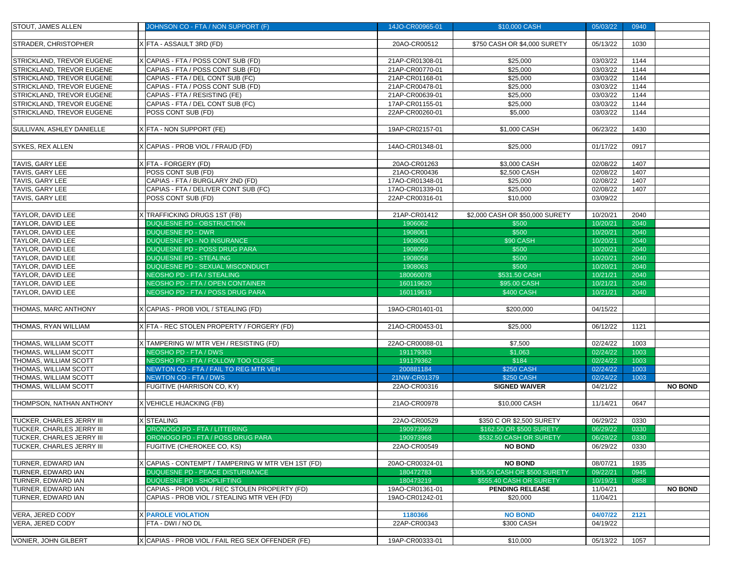| <b>STOUT, JAMES ALLEN</b>                            | JOHNSON CO - FTA / NON SUPPORT (F)                | 14JO-CR00965-01         | \$10,000 CASH                   | 05/03/22             | 0940 |                |
|------------------------------------------------------|---------------------------------------------------|-------------------------|---------------------------------|----------------------|------|----------------|
|                                                      |                                                   |                         |                                 |                      |      |                |
| <b>STRADER, CHRISTOPHER</b>                          | (FTA - ASSAULT 3RD (FD)                           | 20AO-CR00512            | \$750 CASH OR \$4,000 SURETY    | 05/13/22             | 1030 |                |
|                                                      |                                                   |                         |                                 |                      |      |                |
| <b>STRICKLAND, TREVOR EUGENE</b>                     | CAPIAS - FTA / POSS CONT SUB (FD)                 | 21AP-CR01308-01         | \$25,000                        | 03/03/22             | 1144 |                |
| <b>STRICKLAND, TREVOR EUGENE</b>                     | CAPIAS - FTA / POSS CONT SUB (FD)                 | 21AP-CR00770-01         | \$25,000                        | 03/03/22             | 1144 |                |
| <b>STRICKLAND, TREVOR EUGENE</b>                     | CAPIAS - FTA / DEL CONT SUB (FC)                  | 21AP-CR01168-01         | \$25,000                        | 03/03/22             | 1144 |                |
| <b>STRICKLAND, TREVOR EUGENE</b>                     | CAPIAS - FTA / POSS CONT SUB (FD)                 | 21AP-CR00478-01         | \$25,000                        | 03/03/22             | 1144 |                |
| <b>STRICKLAND, TREVOR EUGENE</b>                     | CAPIAS - FTA / RESISTING (FE)                     | 21AP-CR00639-01         | \$25,000                        | 03/03/22             | 1144 |                |
| <b>STRICKLAND, TREVOR EUGENE</b>                     | CAPIAS - FTA / DEL CONT SUB (FC)                  | 17AP-CR01155-01         | \$25,000                        | 03/03/22             | 1144 |                |
| <b>STRICKLAND, TREVOR EUGENE</b>                     | POSS CONT SUB (FD)                                | 22AP-CR00260-01         | \$5,000                         | 03/03/22             | 1144 |                |
|                                                      |                                                   |                         |                                 |                      |      |                |
| <b>SULLIVAN, ASHLEY DANIELLE</b>                     | X FTA - NON SUPPORT (FE)                          | 19AP-CR02157-01         | \$1,000 CASH                    | 06/23/22             | 1430 |                |
|                                                      |                                                   |                         |                                 |                      |      |                |
| <b>SYKES, REX ALLEN</b>                              | CAPIAS - PROB VIOL / FRAUD (FD)                   | 14AO-CR01348-01         | \$25,000                        | 01/17/22             | 0917 |                |
|                                                      |                                                   |                         |                                 |                      |      |                |
| <b>TAVIS, GARY LEE</b>                               | (FTA - FORGERY (FD)                               | 20AO-CR01263            | \$3,000 CASH                    | 02/08/22             | 1407 |                |
| <b>TAVIS, GARY LEE</b>                               | POSS CONT SUB (FD)                                | 21AO-CR00436            | \$2,500 CASH                    | 02/08/22             | 1407 |                |
| <b>TAVIS, GARY LEE</b>                               | CAPIAS - FTA / BURGLARY 2ND (FD)                  | 17AO-CR01348-01         | \$25,000                        | 02/08/22             | 1407 |                |
| <b>TAVIS, GARY LEE</b>                               | CAPIAS - FTA / DELIVER CONT SUB (FC)              | 17AO-CR01339-01         | \$25,000                        | 02/08/22             | 1407 |                |
| <b>TAVIS, GARY LEE</b>                               | POSS CONT SUB (FD)                                | 22AP-CR00316-01         | \$10,000                        | 03/09/22             |      |                |
|                                                      | (TRAFFICKING DRUGS 1ST (FB)                       |                         | \$2,000 CASH OR \$50,000 SURETY |                      | 2040 |                |
| <b>TAYLOR, DAVID LEE</b><br><b>TAYLOR, DAVID LEE</b> | <b>DUQUESNE PD - OBSTRUCTION</b>                  | 21AP-CR01412<br>1906062 | \$500                           | 10/20/21<br>10/20/21 | 2040 |                |
| <b>TAYLOR, DAVID LEE</b>                             | <b>DUQUESNE PD - DWR</b>                          | 1908061                 | \$500                           | 10/20/21             | 2040 |                |
| <b>TAYLOR, DAVID LEE</b>                             | <b>DUQUESNE PD - NO INSURANCE</b>                 | 1908060                 | <b>\$90 CASH</b>                | 10/20/21             | 2040 |                |
| <b>TAYLOR, DAVID LEE</b>                             | <b>DUQUESNE PD - POSS DRUG PARA</b>               | 1908059                 | \$500                           | 10/20/21             | 2040 |                |
| <b>TAYLOR, DAVID LEE</b>                             | <b>DUQUESNE PD - STEALING</b>                     | 1908058                 | \$500                           | 10/20/21             | 2040 |                |
| <b>TAYLOR, DAVID LEE</b>                             | <b>DUQUESNE PD - SEXUAL MISCONDUCT</b>            | 1908063                 | \$500                           | 10/20/21             | 2040 |                |
| <b>TAYLOR, DAVID LEE</b>                             | NEOSHO PD - FTA / STEALING                        | 180060078               | \$531.50 CASH                   | 10/21/21             | 2040 |                |
| <b>TAYLOR, DAVID LEE</b>                             | NEOSHO PD - FTA / OPEN CONTAINER                  | 160119620               | \$95.00 CASH                    | 10/21/21             | 2040 |                |
| <b>TAYLOR, DAVID LEE</b>                             | NEOSHO PD - FTA / POSS DRUG PARA                  | 160119619               | <b>\$400 CASH</b>               | 10/21/21             | 2040 |                |
|                                                      |                                                   |                         |                                 |                      |      |                |
| <b>THOMAS, MARC ANTHONY</b>                          | CAPIAS - PROB VIOL / STEALING (FD)                | 19AO-CR01401-01         | \$200,000                       | 04/15/22             |      |                |
|                                                      |                                                   |                         |                                 |                      |      |                |
| <b>THOMAS, RYAN WILLIAM</b>                          | X FTA - REC STOLEN PROPERTY / FORGERY (FD)        | 21AO-CR00453-01         | \$25,000                        | 06/12/22             | 1121 |                |
|                                                      |                                                   |                         |                                 |                      |      |                |
| <b>THOMAS, WILLIAM SCOTT</b>                         | X TAMPERING W/ MTR VEH / RESISTING (FD)           | 22AO-CR00088-01         | \$7,500                         | 02/24/22             | 1003 |                |
| <b>THOMAS, WILLIAM SCOTT</b>                         | <b>NEOSHO PD - FTA / DWS</b>                      | 191179363               | \$1,063                         | 02/24/22             | 1003 |                |
| <b>THOMAS, WILLIAM SCOTT</b>                         | NEOSHO PD - FTA / FOLLOW TOO CLOSE                | 191179362               | \$184                           | 02/24/22             | 1003 |                |
| <b>THOMAS, WILLIAM SCOTT</b>                         | NEWTON CO - FTA / FAIL TO REG MTR VEH             | 200881184               | \$250 CASH                      | 02/24/22             | 1003 |                |
| <b>THOMAS, WILLIAM SCOTT</b>                         | NEWTON CO - FTA / DWS                             | 21NW-CR01379            | <b>\$250 CASH</b>               | 02/24/22             | 1003 |                |
| <b>THOMAS, WILLIAM SCOTT</b>                         | FUGITIVE (HARRISON CO, KY)                        | 22AO-CR00316            | <b>SIGNED WAIVER</b>            | 04/21/22             |      | <b>NO BOND</b> |
|                                                      |                                                   |                         |                                 |                      |      |                |
| <b>THOMPSON, NATHAN ANTHONY</b>                      | X VEHICLE HIJACKING (FB)                          | 21AO-CR00978            | \$10,000 CASH                   | 11/14/21             | 0647 |                |
|                                                      |                                                   |                         |                                 |                      |      |                |
| <b>TUCKER, CHARLES JERRY III</b>                     | STEALING                                          | 22AO-CR00529            | \$350 C OR \$2,500 SURETY       | 06/29/22             | 0330 |                |
| <b>TUCKER, CHARLES JERRY III</b>                     | ORONOGO PD - FTA / LITTERING                      | 190973969               | \$162.50 OR \$500 SURETY        | 06/29/22             | 0330 |                |
| <b>TUCKER, CHARLES JERRY III</b>                     | ORONOGO PD - FTA / POSS DRUG PARA                 | 190973968               | \$532.50 CASH OR SURETY         | 06/29/22             | 0330 |                |
| <b>TUCKER, CHARLES JERRY III</b>                     | FUGITIVE (CHEROKEE CO, KS)                        | 22AO-CR00549            | <b>NO BOND</b>                  | 06/29/22             | 0330 |                |
|                                                      |                                                   |                         |                                 |                      |      |                |
| <b>TURNER, EDWARD IAN</b>                            | CAPIAS - CONTEMPT / TAMPERING W MTR VEH 1ST (FD)  | 20AO-CR00324-01         | <b>NO BOND</b>                  | 08/07/21             | 1935 |                |
| <b>TURNER, EDWARD IAN</b>                            | DUQUESNE PD - PEACE DISTURBANCE                   | 180472783               | \$305.50 CASH OR \$500 SURETY   | 09/22/21             | 0945 |                |
| <b>TURNER, EDWARD IAN</b>                            | <b>DUQUESNE PD - SHOPLIFTING</b>                  | 180473219               | \$555.40 CASH OR SURETY         | 10/19/21             | 0858 |                |
| <b>TURNER, EDWARD IAN</b>                            | CAPIAS - PROB VIOL / REC STOLEN PROPERTY (FD)     | 19AO-CR01361-01         | <b>PENDING RELEASE</b>          | 11/04/21             |      | <b>NO BOND</b> |
| <b>TURNER, EDWARD IAN</b>                            | CAPIAS - PROB VIOL / STEALING MTR VEH (FD)        | 19AO-CR01242-01         | \$20,000                        | 11/04/21             |      |                |
| VERA, JERED CODY                                     | <b>PAROLE VIOLATION</b>                           | 1180366                 | <b>NO BOND</b>                  | 04/07/22             | 2121 |                |
| VERA, JERED CODY                                     | FTA - DWI / NO DL                                 | 22AP-CR00343            | \$300 CASH                      | 04/19/22             |      |                |
|                                                      |                                                   |                         |                                 |                      |      |                |
|                                                      |                                                   |                         |                                 |                      |      |                |
| VONIER, JOHN GILBERT                                 | X CAPIAS - PROB VIOL / FAIL REG SEX OFFENDER (FE) | 19AP-CR00333-01         | \$10,000                        | 05/13/22 1057        |      |                |